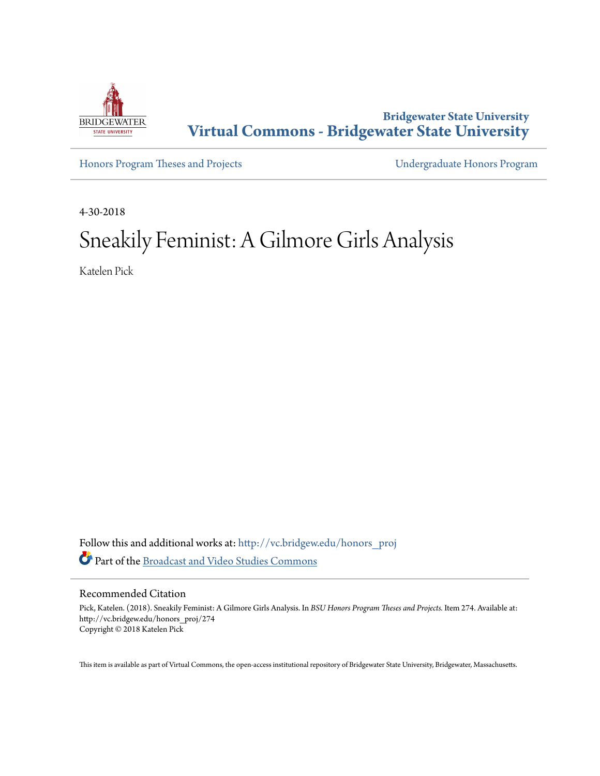

**Bridgewater State University [Virtual Commons - Bridgewater State University](http://vc.bridgew.edu?utm_source=vc.bridgew.edu%2Fhonors_proj%2F274&utm_medium=PDF&utm_campaign=PDFCoverPages)**

[Honors Program Theses and Projects](http://vc.bridgew.edu/honors_proj?utm_source=vc.bridgew.edu%2Fhonors_proj%2F274&utm_medium=PDF&utm_campaign=PDFCoverPages) [Undergraduate Honors Program](http://vc.bridgew.edu/honors?utm_source=vc.bridgew.edu%2Fhonors_proj%2F274&utm_medium=PDF&utm_campaign=PDFCoverPages)

4-30-2018

# Sneakily Feminist: A Gilmore Girls Analysis

Katelen Pick

Follow this and additional works at: [http://vc.bridgew.edu/honors\\_proj](http://vc.bridgew.edu/honors_proj?utm_source=vc.bridgew.edu%2Fhonors_proj%2F274&utm_medium=PDF&utm_campaign=PDFCoverPages) Part of the [Broadcast and Video Studies Commons](http://network.bepress.com/hgg/discipline/326?utm_source=vc.bridgew.edu%2Fhonors_proj%2F274&utm_medium=PDF&utm_campaign=PDFCoverPages)

# Recommended Citation

Pick, Katelen. (2018). Sneakily Feminist: A Gilmore Girls Analysis. In *BSU Honors Program Theses and Projects.* Item 274. Available at: http://vc.bridgew.edu/honors\_proj/274 Copyright © 2018 Katelen Pick

This item is available as part of Virtual Commons, the open-access institutional repository of Bridgewater State University, Bridgewater, Massachusetts.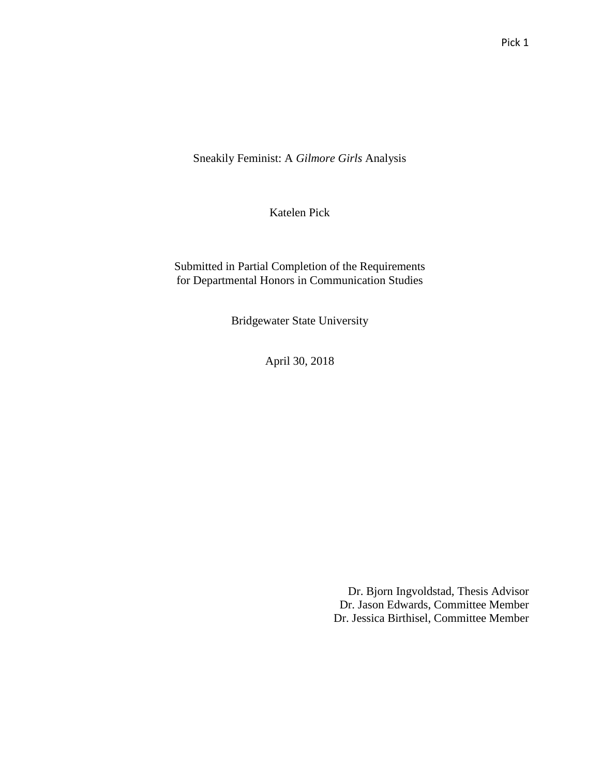Sneakily Feminist: A *Gilmore Girls* Analysis

Katelen Pick

Submitted in Partial Completion of the Requirements for Departmental Honors in Communication Studies

Bridgewater State University

April 30, 2018

Dr. Bjorn Ingvoldstad, Thesis Advisor Dr. Jason Edwards, Committee Member Dr. Jessica Birthisel, Committee Member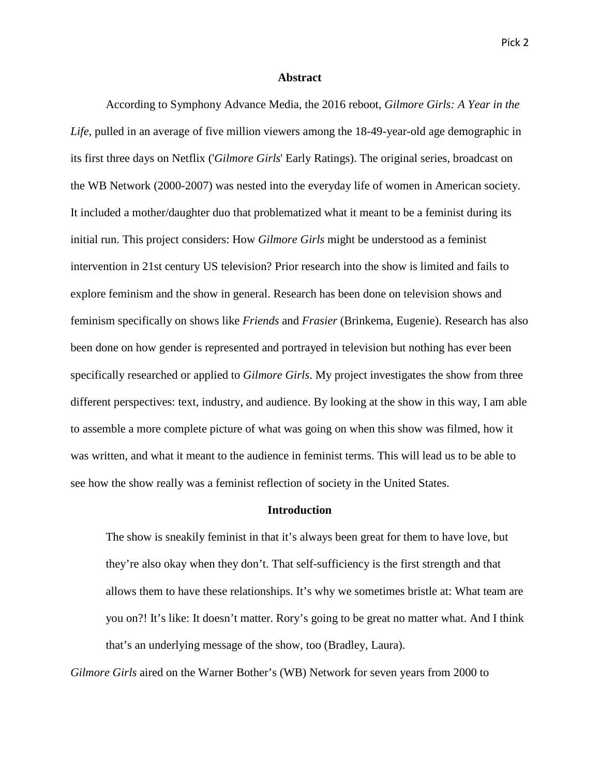# **Abstract**

According to Symphony Advance Media, the 2016 reboot, *Gilmore Girls: A Year in the Life*, pulled in an average of five million viewers among the 18-49-year-old age demographic in its first three days on Netflix ('*Gilmore Girls*' Early Ratings). The original series, broadcast on the WB Network (2000-2007) was nested into the everyday life of women in American society. It included a mother/daughter duo that problematized what it meant to be a feminist during its initial run. This project considers: How *Gilmore Girls* might be understood as a feminist intervention in 21st century US television? Prior research into the show is limited and fails to explore feminism and the show in general. Research has been done on television shows and feminism specifically on shows like *Friends* and *Frasier* (Brinkema, Eugenie). Research has also been done on how gender is represented and portrayed in television but nothing has ever been specifically researched or applied to *Gilmore Girls*. My project investigates the show from three different perspectives: text, industry, and audience. By looking at the show in this way, I am able to assemble a more complete picture of what was going on when this show was filmed, how it was written, and what it meant to the audience in feminist terms. This will lead us to be able to see how the show really was a feminist reflection of society in the United States.

# **Introduction**

The show is sneakily feminist in that it's always been great for them to have love, but they're also okay when they don't. That self-sufficiency is the first strength and that allows them to have these relationships. It's why we sometimes bristle at: What team are you on?! It's like: It doesn't matter. Rory's going to be great no matter what. And I think that's an underlying message of the show, too (Bradley, Laura).

*Gilmore Girls* aired on the Warner Bother's (WB) Network for seven years from 2000 to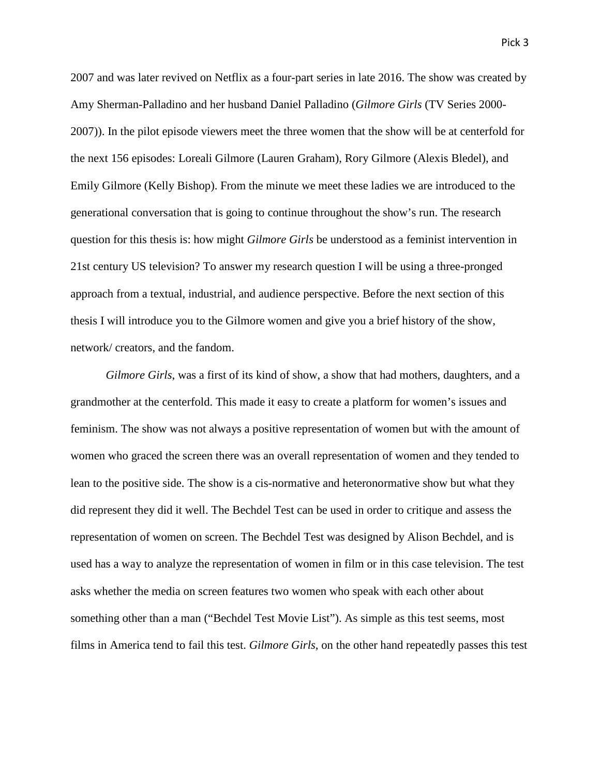2007 and was later revived on Netflix as a four-part series in late 2016. The show was created by Amy Sherman-Palladino and her husband Daniel Palladino (*Gilmore Girls* (TV Series 2000- 2007)). In the pilot episode viewers meet the three women that the show will be at centerfold for the next 156 episodes: Loreali Gilmore (Lauren Graham), Rory Gilmore (Alexis Bledel), and Emily Gilmore (Kelly Bishop). From the minute we meet these ladies we are introduced to the generational conversation that is going to continue throughout the show's run. The research question for this thesis is: how might *Gilmore Girls* be understood as a feminist intervention in 21st century US television? To answer my research question I will be using a three-pronged approach from a textual, industrial, and audience perspective. Before the next section of this thesis I will introduce you to the Gilmore women and give you a brief history of the show, network/ creators, and the fandom.

*Gilmore Girls*, was a first of its kind of show, a show that had mothers, daughters, and a grandmother at the centerfold. This made it easy to create a platform for women's issues and feminism. The show was not always a positive representation of women but with the amount of women who graced the screen there was an overall representation of women and they tended to lean to the positive side. The show is a cis-normative and heteronormative show but what they did represent they did it well. The Bechdel Test can be used in order to critique and assess the representation of women on screen. The Bechdel Test was designed by Alison Bechdel, and is used has a way to analyze the representation of women in film or in this case television. The test asks whether the media on screen features two women who speak with each other about something other than a man ("Bechdel Test Movie List"). As simple as this test seems, most films in America tend to fail this test. *Gilmore Girls*, on the other hand repeatedly passes this test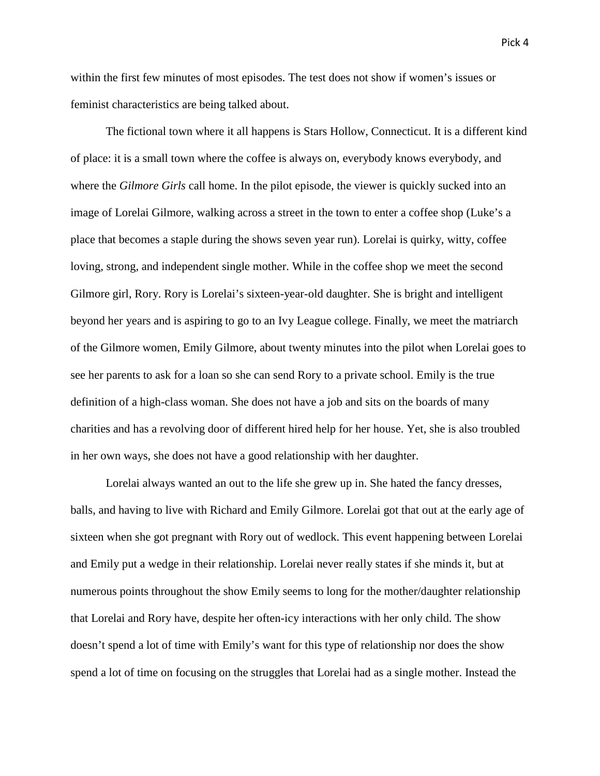within the first few minutes of most episodes. The test does not show if women's issues or feminist characteristics are being talked about.

The fictional town where it all happens is Stars Hollow, Connecticut. It is a different kind of place: it is a small town where the coffee is always on, everybody knows everybody, and where the *Gilmore Girls* call home. In the pilot episode, the viewer is quickly sucked into an image of Lorelai Gilmore, walking across a street in the town to enter a coffee shop (Luke's a place that becomes a staple during the shows seven year run). Lorelai is quirky, witty, coffee loving, strong, and independent single mother. While in the coffee shop we meet the second Gilmore girl, Rory. Rory is Lorelai's sixteen-year-old daughter. She is bright and intelligent beyond her years and is aspiring to go to an Ivy League college. Finally, we meet the matriarch of the Gilmore women, Emily Gilmore, about twenty minutes into the pilot when Lorelai goes to see her parents to ask for a loan so she can send Rory to a private school. Emily is the true definition of a high-class woman. She does not have a job and sits on the boards of many charities and has a revolving door of different hired help for her house. Yet, she is also troubled in her own ways, she does not have a good relationship with her daughter.

Lorelai always wanted an out to the life she grew up in. She hated the fancy dresses, balls, and having to live with Richard and Emily Gilmore. Lorelai got that out at the early age of sixteen when she got pregnant with Rory out of wedlock. This event happening between Lorelai and Emily put a wedge in their relationship. Lorelai never really states if she minds it, but at numerous points throughout the show Emily seems to long for the mother/daughter relationship that Lorelai and Rory have, despite her often-icy interactions with her only child. The show doesn't spend a lot of time with Emily's want for this type of relationship nor does the show spend a lot of time on focusing on the struggles that Lorelai had as a single mother. Instead the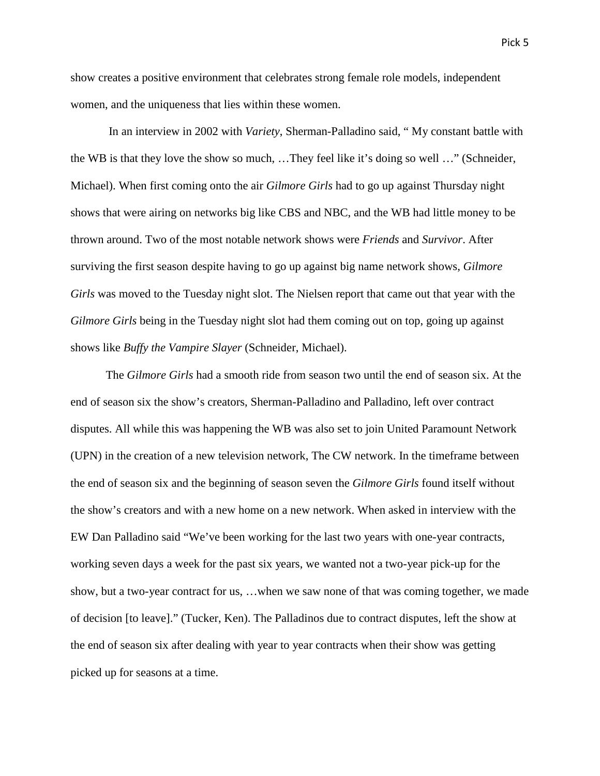show creates a positive environment that celebrates strong female role models, independent women, and the uniqueness that lies within these women.

In an interview in 2002 with *Variety*, Sherman-Palladino said, " My constant battle with the WB is that they love the show so much, …They feel like it's doing so well …" (Schneider, Michael). When first coming onto the air *Gilmore Girls* had to go up against Thursday night shows that were airing on networks big like CBS and NBC, and the WB had little money to be thrown around. Two of the most notable network shows were *Friends* and *Survivor*. After surviving the first season despite having to go up against big name network shows, *Gilmore Girls* was moved to the Tuesday night slot. The Nielsen report that came out that year with the *Gilmore Girls* being in the Tuesday night slot had them coming out on top, going up against shows like *Buffy the Vampire Slayer* (Schneider, Michael).

The *Gilmore Girls* had a smooth ride from season two until the end of season six. At the end of season six the show's creators, Sherman-Palladino and Palladino, left over contract disputes. All while this was happening the WB was also set to join United Paramount Network (UPN) in the creation of a new television network, The CW network. In the timeframe between the end of season six and the beginning of season seven the *Gilmore Girls* found itself without the show's creators and with a new home on a new network. When asked in interview with the EW Dan Palladino said "We've been working for the last two years with one-year contracts, working seven days a week for the past six years, we wanted not a two-year pick-up for the show, but a two-year contract for us, …when we saw none of that was coming together, we made of decision [to leave]." (Tucker, Ken). The Palladinos due to contract disputes, left the show at the end of season six after dealing with year to year contracts when their show was getting picked up for seasons at a time.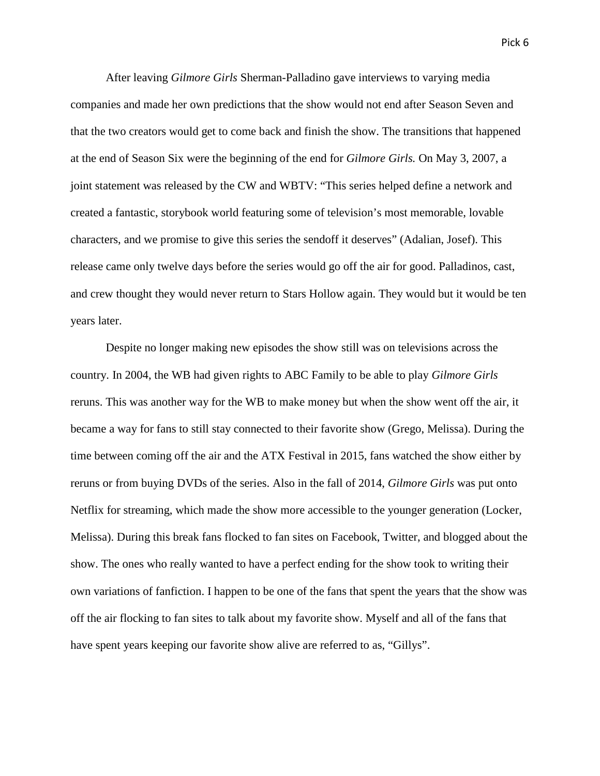After leaving *Gilmore Girls* Sherman-Palladino gave interviews to varying media companies and made her own predictions that the show would not end after Season Seven and that the two creators would get to come back and finish the show. The transitions that happened at the end of Season Six were the beginning of the end for *Gilmore Girls.* On May 3, 2007, a joint statement was released by the CW and WBTV: "This series helped define a network and created a fantastic, storybook world featuring some of television's most memorable, lovable characters, and we promise to give this series the sendoff it deserves" (Adalian, Josef). This release came only twelve days before the series would go off the air for good. Palladinos, cast, and crew thought they would never return to Stars Hollow again. They would but it would be ten years later.

Despite no longer making new episodes the show still was on televisions across the country. In 2004, the WB had given rights to ABC Family to be able to play *Gilmore Girls* reruns. This was another way for the WB to make money but when the show went off the air, it became a way for fans to still stay connected to their favorite show (Grego, Melissa). During the time between coming off the air and the ATX Festival in 2015, fans watched the show either by reruns or from buying DVDs of the series. Also in the fall of 2014, *Gilmore Girls* was put onto Netflix for streaming, which made the show more accessible to the younger generation (Locker, Melissa). During this break fans flocked to fan sites on Facebook, Twitter, and blogged about the show. The ones who really wanted to have a perfect ending for the show took to writing their own variations of fanfiction. I happen to be one of the fans that spent the years that the show was off the air flocking to fan sites to talk about my favorite show. Myself and all of the fans that have spent years keeping our favorite show alive are referred to as, "Gillys".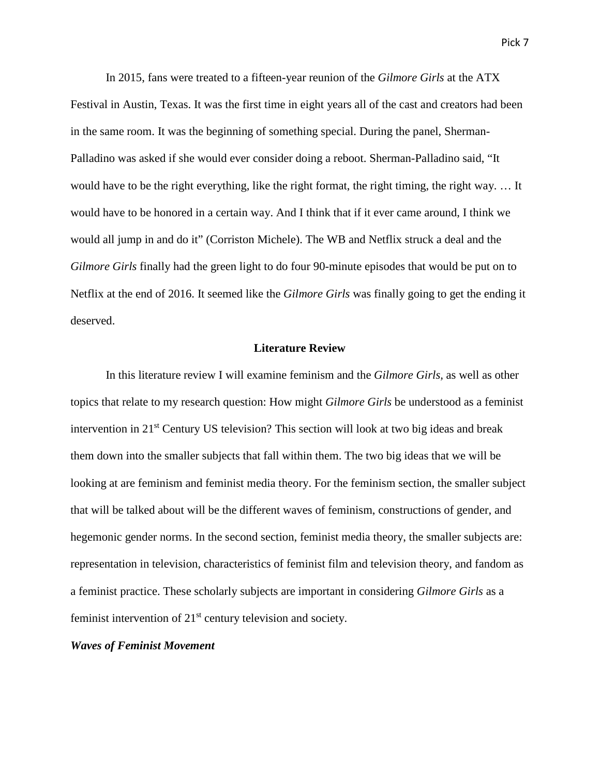In 2015, fans were treated to a fifteen-year reunion of the *Gilmore Girls* at the ATX Festival in Austin, Texas. It was the first time in eight years all of the cast and creators had been in the same room. It was the beginning of something special. During the panel, Sherman-Palladino was asked if she would ever consider doing a reboot. Sherman-Palladino said, "It would have to be the right everything, like the right format, the right timing, the right way. … It would have to be honored in a certain way. And I think that if it ever came around, I think we would all jump in and do it" (Corriston Michele). The WB and Netflix struck a deal and the *Gilmore Girls* finally had the green light to do four 90-minute episodes that would be put on to Netflix at the end of 2016. It seemed like the *Gilmore Girls* was finally going to get the ending it deserved.

# **Literature Review**

In this literature review I will examine feminism and the *Gilmore Girls,* as well as other topics that relate to my research question: How might *Gilmore Girls* be understood as a feminist intervention in 21<sup>st</sup> Century US television? This section will look at two big ideas and break them down into the smaller subjects that fall within them. The two big ideas that we will be looking at are feminism and feminist media theory. For the feminism section, the smaller subject that will be talked about will be the different waves of feminism, constructions of gender, and hegemonic gender norms. In the second section, feminist media theory, the smaller subjects are: representation in television, characteristics of feminist film and television theory, and fandom as a feminist practice. These scholarly subjects are important in considering *Gilmore Girls* as a feminist intervention of 21<sup>st</sup> century television and society.

# *Waves of Feminist Movement*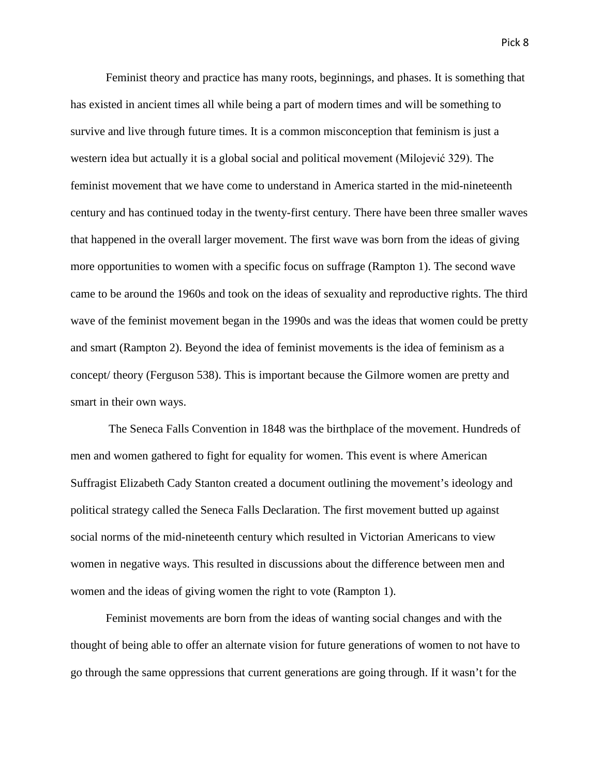Feminist theory and practice has many roots, beginnings, and phases. It is something that has existed in ancient times all while being a part of modern times and will be something to survive and live through future times. It is a common misconception that feminism is just a western idea but actually it is a global social and political movement (Milojević 329). The feminist movement that we have come to understand in America started in the mid-nineteenth century and has continued today in the twenty-first century. There have been three smaller waves that happened in the overall larger movement. The first wave was born from the ideas of giving more opportunities to women with a specific focus on suffrage (Rampton 1). The second wave came to be around the 1960s and took on the ideas of sexuality and reproductive rights. The third wave of the feminist movement began in the 1990s and was the ideas that women could be pretty and smart (Rampton 2). Beyond the idea of feminist movements is the idea of feminism as a concept/ theory (Ferguson 538). This is important because the Gilmore women are pretty and smart in their own ways.

The Seneca Falls Convention in 1848 was the birthplace of the movement. Hundreds of men and women gathered to fight for equality for women. This event is where American Suffragist Elizabeth Cady Stanton created a document outlining the movement's ideology and political strategy called the Seneca Falls Declaration. The first movement butted up against social norms of the mid-nineteenth century which resulted in Victorian Americans to view women in negative ways. This resulted in discussions about the difference between men and women and the ideas of giving women the right to vote (Rampton 1).

Feminist movements are born from the ideas of wanting social changes and with the thought of being able to offer an alternate vision for future generations of women to not have to go through the same oppressions that current generations are going through. If it wasn't for the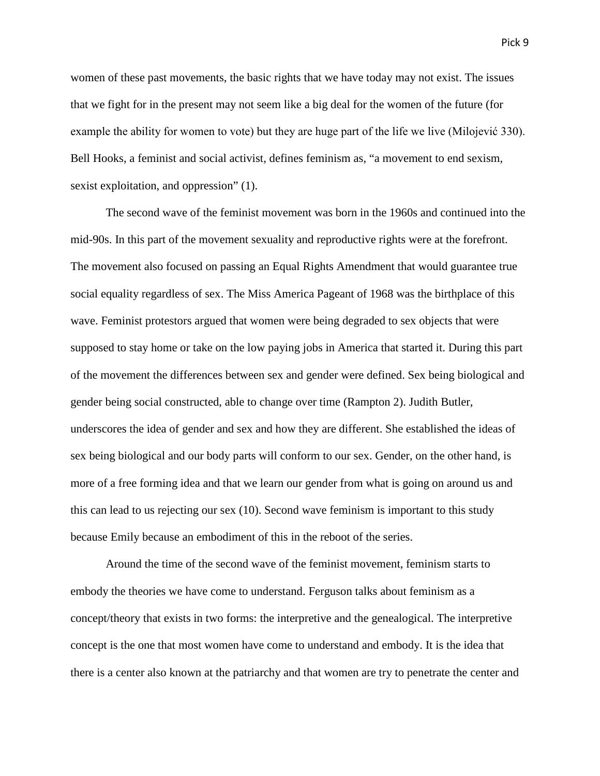women of these past movements, the basic rights that we have today may not exist. The issues that we fight for in the present may not seem like a big deal for the women of the future (for example the ability for women to vote) but they are huge part of the life we live (Milojević 330). Bell Hooks, a feminist and social activist, defines feminism as, "a movement to end sexism, sexist exploitation, and oppression" (1).

The second wave of the feminist movement was born in the 1960s and continued into the mid-90s. In this part of the movement sexuality and reproductive rights were at the forefront. The movement also focused on passing an Equal Rights Amendment that would guarantee true social equality regardless of sex. The Miss America Pageant of 1968 was the birthplace of this wave. Feminist protestors argued that women were being degraded to sex objects that were supposed to stay home or take on the low paying jobs in America that started it. During this part of the movement the differences between sex and gender were defined. Sex being biological and gender being social constructed, able to change over time (Rampton 2). Judith Butler, underscores the idea of gender and sex and how they are different. She established the ideas of sex being biological and our body parts will conform to our sex. Gender, on the other hand, is more of a free forming idea and that we learn our gender from what is going on around us and this can lead to us rejecting our sex (10). Second wave feminism is important to this study because Emily because an embodiment of this in the reboot of the series.

Around the time of the second wave of the feminist movement, feminism starts to embody the theories we have come to understand. Ferguson talks about feminism as a concept/theory that exists in two forms: the interpretive and the genealogical. The interpretive concept is the one that most women have come to understand and embody. It is the idea that there is a center also known at the patriarchy and that women are try to penetrate the center and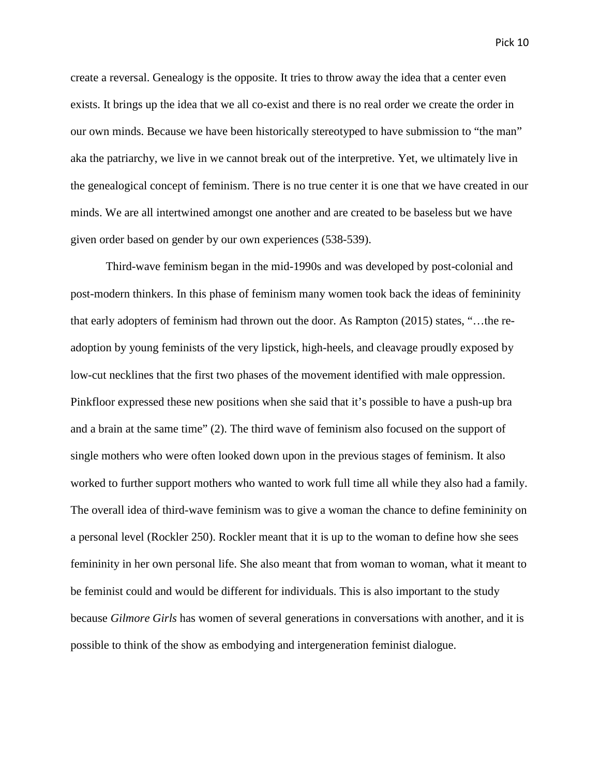create a reversal. Genealogy is the opposite. It tries to throw away the idea that a center even exists. It brings up the idea that we all co-exist and there is no real order we create the order in our own minds. Because we have been historically stereotyped to have submission to "the man" aka the patriarchy, we live in we cannot break out of the interpretive. Yet, we ultimately live in the genealogical concept of feminism. There is no true center it is one that we have created in our minds. We are all intertwined amongst one another and are created to be baseless but we have given order based on gender by our own experiences (538-539).

Third-wave feminism began in the mid-1990s and was developed by post-colonial and post-modern thinkers. In this phase of feminism many women took back the ideas of femininity that early adopters of feminism had thrown out the door. As Rampton (2015) states, "…the readoption by young feminists of the very lipstick, high-heels, and cleavage proudly exposed by low-cut necklines that the first two phases of the movement identified with male oppression. Pinkfloor expressed these new positions when she said that it's possible to have a push-up bra and a brain at the same time" (2). The third wave of feminism also focused on the support of single mothers who were often looked down upon in the previous stages of feminism. It also worked to further support mothers who wanted to work full time all while they also had a family. The overall idea of third-wave feminism was to give a woman the chance to define femininity on a personal level (Rockler 250). Rockler meant that it is up to the woman to define how she sees femininity in her own personal life. She also meant that from woman to woman, what it meant to be feminist could and would be different for individuals. This is also important to the study because *Gilmore Girls* has women of several generations in conversations with another, and it is possible to think of the show as embodying and intergeneration feminist dialogue.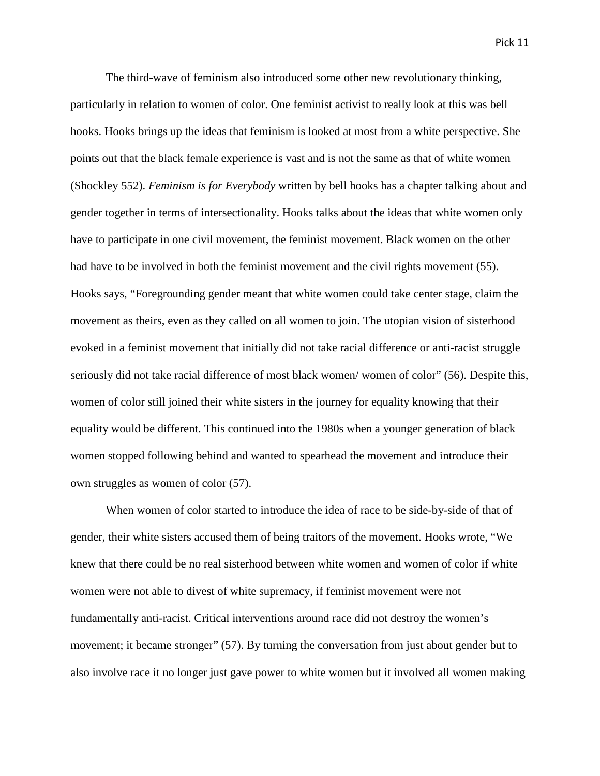The third-wave of feminism also introduced some other new revolutionary thinking, particularly in relation to women of color. One feminist activist to really look at this was bell hooks. Hooks brings up the ideas that feminism is looked at most from a white perspective. She points out that the black female experience is vast and is not the same as that of white women (Shockley 552). *Feminism is for Everybody* written by bell hooks has a chapter talking about and gender together in terms of intersectionality. Hooks talks about the ideas that white women only have to participate in one civil movement, the feminist movement. Black women on the other had have to be involved in both the feminist movement and the civil rights movement (55). Hooks says, "Foregrounding gender meant that white women could take center stage, claim the movement as theirs, even as they called on all women to join. The utopian vision of sisterhood evoked in a feminist movement that initially did not take racial difference or anti-racist struggle seriously did not take racial difference of most black women/ women of color" (56). Despite this, women of color still joined their white sisters in the journey for equality knowing that their equality would be different. This continued into the 1980s when a younger generation of black women stopped following behind and wanted to spearhead the movement and introduce their own struggles as women of color (57).

When women of color started to introduce the idea of race to be side-by-side of that of gender, their white sisters accused them of being traitors of the movement. Hooks wrote, "We knew that there could be no real sisterhood between white women and women of color if white women were not able to divest of white supremacy, if feminist movement were not fundamentally anti-racist. Critical interventions around race did not destroy the women's movement; it became stronger" (57). By turning the conversation from just about gender but to also involve race it no longer just gave power to white women but it involved all women making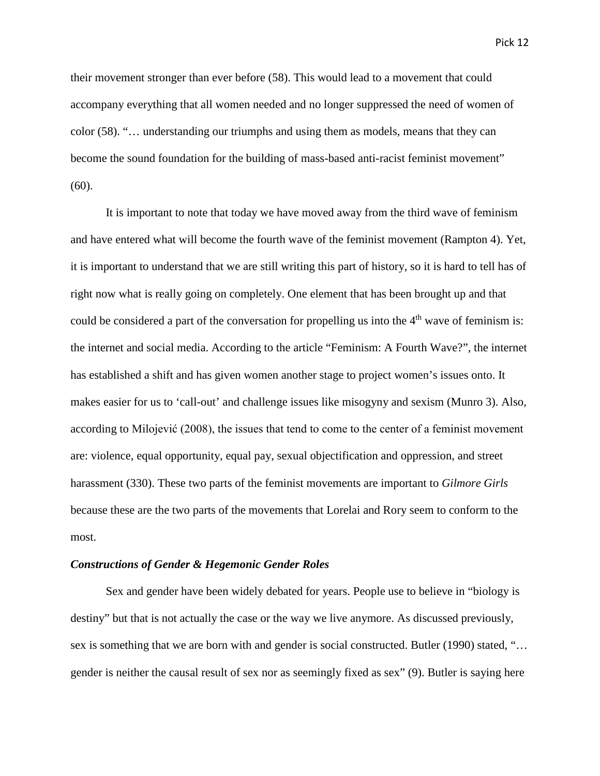their movement stronger than ever before (58). This would lead to a movement that could accompany everything that all women needed and no longer suppressed the need of women of color (58). "… understanding our triumphs and using them as models, means that they can become the sound foundation for the building of mass-based anti-racist feminist movement"  $(60)$ .

It is important to note that today we have moved away from the third wave of feminism and have entered what will become the fourth wave of the feminist movement (Rampton 4). Yet, it is important to understand that we are still writing this part of history, so it is hard to tell has of right now what is really going on completely. One element that has been brought up and that could be considered a part of the conversation for propelling us into the  $4<sup>th</sup>$  wave of feminism is: the internet and social media. According to the article "Feminism: A Fourth Wave?", the internet has established a shift and has given women another stage to project women's issues onto. It makes easier for us to 'call-out' and challenge issues like misogyny and sexism (Munro 3). Also, according to Milojević (2008), the issues that tend to come to the center of a feminist movement are: violence, equal opportunity, equal pay, sexual objectification and oppression, and street harassment (330). These two parts of the feminist movements are important to *Gilmore Girls*  because these are the two parts of the movements that Lorelai and Rory seem to conform to the most.

#### *Constructions of Gender & Hegemonic Gender Roles*

Sex and gender have been widely debated for years. People use to believe in "biology is destiny" but that is not actually the case or the way we live anymore. As discussed previously, sex is something that we are born with and gender is social constructed. Butler (1990) stated, "... gender is neither the causal result of sex nor as seemingly fixed as sex" (9). Butler is saying here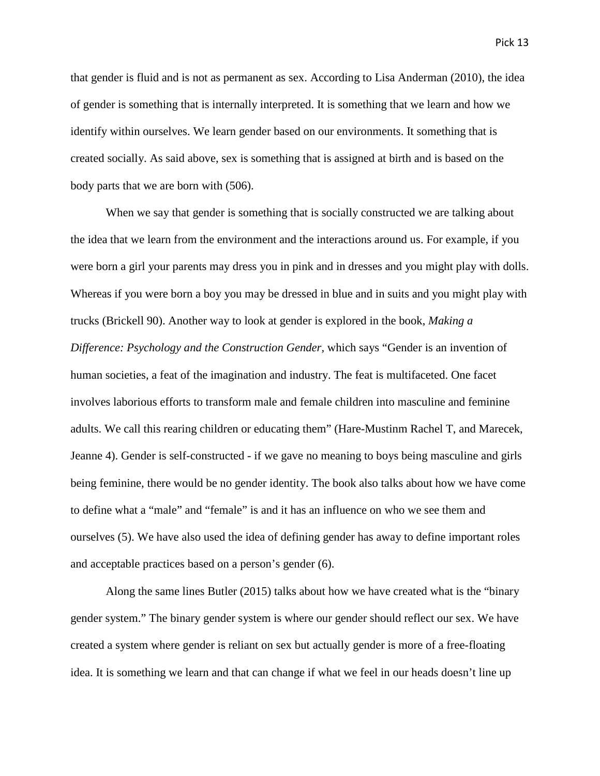that gender is fluid and is not as permanent as sex. According to Lisa Anderman (2010), the idea of gender is something that is internally interpreted. It is something that we learn and how we identify within ourselves. We learn gender based on our environments. It something that is created socially. As said above, sex is something that is assigned at birth and is based on the body parts that we are born with (506).

When we say that gender is something that is socially constructed we are talking about the idea that we learn from the environment and the interactions around us. For example, if you were born a girl your parents may dress you in pink and in dresses and you might play with dolls. Whereas if you were born a boy you may be dressed in blue and in suits and you might play with trucks (Brickell 90). Another way to look at gender is explored in the book, *Making a Difference: Psychology and the Construction Gender,* which says "Gender is an invention of human societies, a feat of the imagination and industry. The feat is multifaceted. One facet involves laborious efforts to transform male and female children into masculine and feminine adults. We call this rearing children or educating them" (Hare-Mustinm Rachel T, and Marecek, Jeanne 4). Gender is self-constructed - if we gave no meaning to boys being masculine and girls being feminine, there would be no gender identity. The book also talks about how we have come to define what a "male" and "female" is and it has an influence on who we see them and ourselves (5). We have also used the idea of defining gender has away to define important roles and acceptable practices based on a person's gender (6).

Along the same lines Butler (2015) talks about how we have created what is the "binary gender system." The binary gender system is where our gender should reflect our sex. We have created a system where gender is reliant on sex but actually gender is more of a free-floating idea. It is something we learn and that can change if what we feel in our heads doesn't line up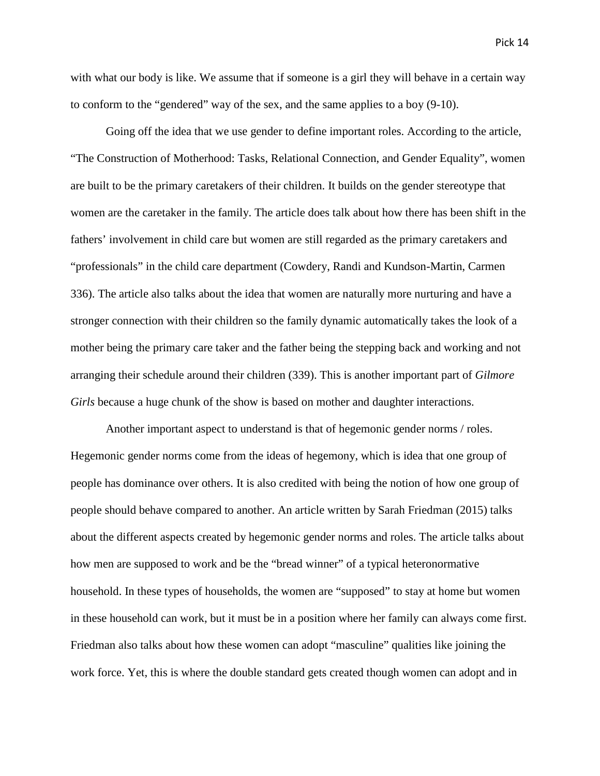with what our body is like. We assume that if someone is a girl they will behave in a certain way to conform to the "gendered" way of the sex, and the same applies to a boy (9-10).

Going off the idea that we use gender to define important roles. According to the article, "The Construction of Motherhood: Tasks, Relational Connection, and Gender Equality", women are built to be the primary caretakers of their children. It builds on the gender stereotype that women are the caretaker in the family. The article does talk about how there has been shift in the fathers' involvement in child care but women are still regarded as the primary caretakers and "professionals" in the child care department (Cowdery, Randi and Kundson-Martin, Carmen 336). The article also talks about the idea that women are naturally more nurturing and have a stronger connection with their children so the family dynamic automatically takes the look of a mother being the primary care taker and the father being the stepping back and working and not arranging their schedule around their children (339). This is another important part of *Gilmore Girls* because a huge chunk of the show is based on mother and daughter interactions.

Another important aspect to understand is that of hegemonic gender norms / roles. Hegemonic gender norms come from the ideas of hegemony, which is idea that one group of people has dominance over others. It is also credited with being the notion of how one group of people should behave compared to another. An article written by Sarah Friedman (2015) talks about the different aspects created by hegemonic gender norms and roles. The article talks about how men are supposed to work and be the "bread winner" of a typical heteronormative household. In these types of households, the women are "supposed" to stay at home but women in these household can work, but it must be in a position where her family can always come first. Friedman also talks about how these women can adopt "masculine" qualities like joining the work force. Yet, this is where the double standard gets created though women can adopt and in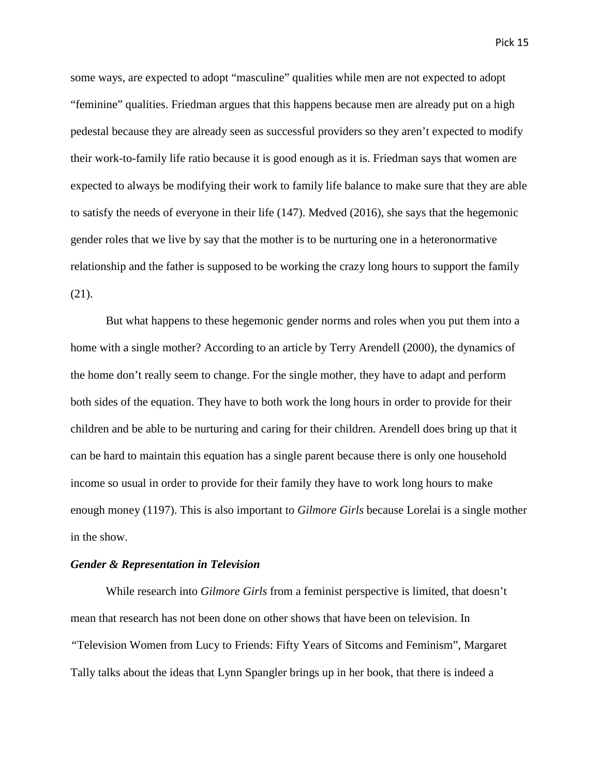some ways, are expected to adopt "masculine" qualities while men are not expected to adopt "feminine" qualities. Friedman argues that this happens because men are already put on a high pedestal because they are already seen as successful providers so they aren't expected to modify their work-to-family life ratio because it is good enough as it is. Friedman says that women are expected to always be modifying their work to family life balance to make sure that they are able to satisfy the needs of everyone in their life (147). Medved (2016), she says that the hegemonic gender roles that we live by say that the mother is to be nurturing one in a heteronormative relationship and the father is supposed to be working the crazy long hours to support the family (21).

But what happens to these hegemonic gender norms and roles when you put them into a home with a single mother? According to an article by Terry Arendell (2000), the dynamics of the home don't really seem to change. For the single mother, they have to adapt and perform both sides of the equation. They have to both work the long hours in order to provide for their children and be able to be nurturing and caring for their children. Arendell does bring up that it can be hard to maintain this equation has a single parent because there is only one household income so usual in order to provide for their family they have to work long hours to make enough money (1197). This is also important to *Gilmore Girls* because Lorelai is a single mother in the show.

#### *Gender & Representation in Television*

While research into *Gilmore Girls* from a feminist perspective is limited, that doesn't mean that research has not been done on other shows that have been on television. In *"*Television Women from Lucy to Friends: Fifty Years of Sitcoms and Feminism", Margaret Tally talks about the ideas that Lynn Spangler brings up in her book, that there is indeed a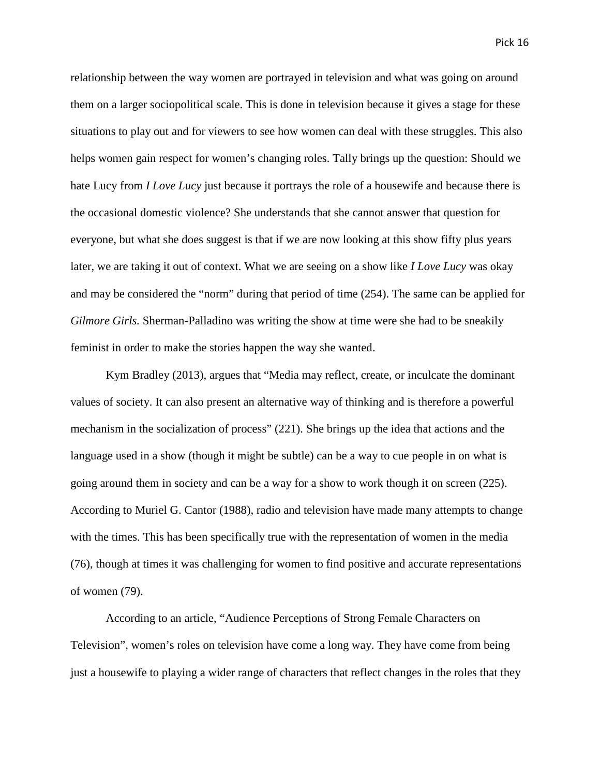relationship between the way women are portrayed in television and what was going on around them on a larger sociopolitical scale. This is done in television because it gives a stage for these situations to play out and for viewers to see how women can deal with these struggles. This also helps women gain respect for women's changing roles. Tally brings up the question: Should we hate Lucy from *I Love Lucy* just because it portrays the role of a housewife and because there is the occasional domestic violence? She understands that she cannot answer that question for everyone, but what she does suggest is that if we are now looking at this show fifty plus years later, we are taking it out of context. What we are seeing on a show like *I Love Lucy* was okay and may be considered the "norm" during that period of time (254). The same can be applied for *Gilmore Girls.* Sherman-Palladino was writing the show at time were she had to be sneakily feminist in order to make the stories happen the way she wanted.

Kym Bradley (2013), argues that "Media may reflect, create, or inculcate the dominant values of society. It can also present an alternative way of thinking and is therefore a powerful mechanism in the socialization of process" (221). She brings up the idea that actions and the language used in a show (though it might be subtle) can be a way to cue people in on what is going around them in society and can be a way for a show to work though it on screen (225). According to Muriel G. Cantor (1988), radio and television have made many attempts to change with the times. This has been specifically true with the representation of women in the media (76), though at times it was challenging for women to find positive and accurate representations of women (79).

According to an article, "Audience Perceptions of Strong Female Characters on Television", women's roles on television have come a long way. They have come from being just a housewife to playing a wider range of characters that reflect changes in the roles that they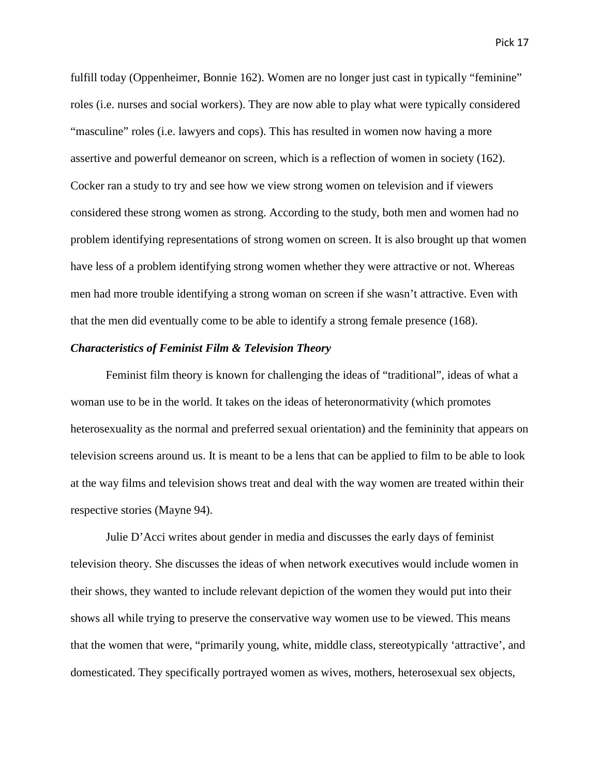fulfill today (Oppenheimer, Bonnie 162). Women are no longer just cast in typically "feminine" roles (i.e. nurses and social workers). They are now able to play what were typically considered "masculine" roles (i.e. lawyers and cops). This has resulted in women now having a more assertive and powerful demeanor on screen, which is a reflection of women in society (162). Cocker ran a study to try and see how we view strong women on television and if viewers considered these strong women as strong. According to the study, both men and women had no problem identifying representations of strong women on screen. It is also brought up that women have less of a problem identifying strong women whether they were attractive or not. Whereas men had more trouble identifying a strong woman on screen if she wasn't attractive. Even with that the men did eventually come to be able to identify a strong female presence (168).

# *Characteristics of Feminist Film & Television Theory*

Feminist film theory is known for challenging the ideas of "traditional", ideas of what a woman use to be in the world. It takes on the ideas of heteronormativity (which promotes heterosexuality as the normal and preferred sexual orientation) and the femininity that appears on television screens around us. It is meant to be a lens that can be applied to film to be able to look at the way films and television shows treat and deal with the way women are treated within their respective stories (Mayne 94).

Julie D'Acci writes about gender in media and discusses the early days of feminist television theory. She discusses the ideas of when network executives would include women in their shows, they wanted to include relevant depiction of the women they would put into their shows all while trying to preserve the conservative way women use to be viewed. This means that the women that were, "primarily young, white, middle class, stereotypically 'attractive', and domesticated. They specifically portrayed women as wives, mothers, heterosexual sex objects,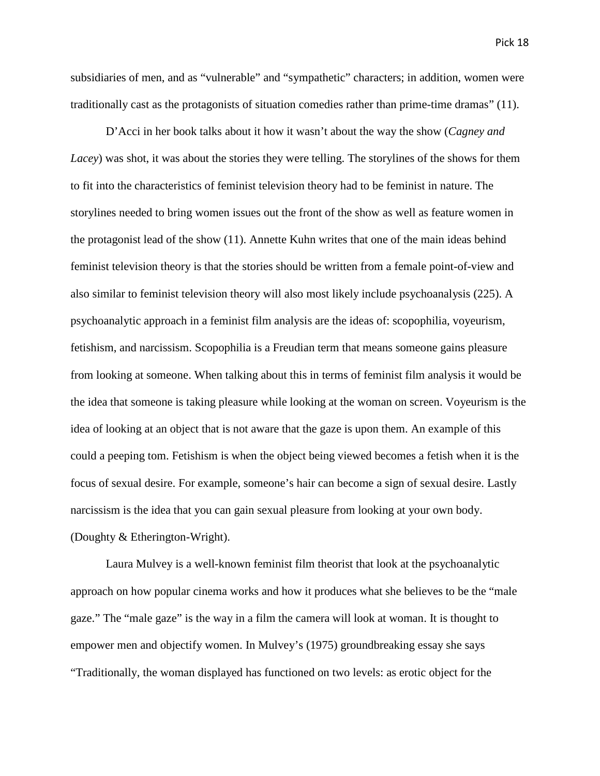subsidiaries of men, and as "vulnerable" and "sympathetic" characters; in addition, women were traditionally cast as the protagonists of situation comedies rather than prime-time dramas" (11).

D'Acci in her book talks about it how it wasn't about the way the show (*Cagney and Lacey*) was shot, it was about the stories they were telling. The storylines of the shows for them to fit into the characteristics of feminist television theory had to be feminist in nature. The storylines needed to bring women issues out the front of the show as well as feature women in the protagonist lead of the show (11). Annette Kuhn writes that one of the main ideas behind feminist television theory is that the stories should be written from a female point-of-view and also similar to feminist television theory will also most likely include psychoanalysis (225). A psychoanalytic approach in a feminist film analysis are the ideas of: scopophilia, voyeurism, fetishism, and narcissism. Scopophilia is a Freudian term that means someone gains pleasure from looking at someone. When talking about this in terms of feminist film analysis it would be the idea that someone is taking pleasure while looking at the woman on screen. Voyeurism is the idea of looking at an object that is not aware that the gaze is upon them. An example of this could a peeping tom. Fetishism is when the object being viewed becomes a fetish when it is the focus of sexual desire. For example, someone's hair can become a sign of sexual desire. Lastly narcissism is the idea that you can gain sexual pleasure from looking at your own body. (Doughty & Etherington-Wright).

Laura Mulvey is a well-known feminist film theorist that look at the psychoanalytic approach on how popular cinema works and how it produces what she believes to be the "male gaze." The "male gaze" is the way in a film the camera will look at woman. It is thought to empower men and objectify women. In Mulvey's (1975) groundbreaking essay she says "Traditionally, the woman displayed has functioned on two levels: as erotic object for the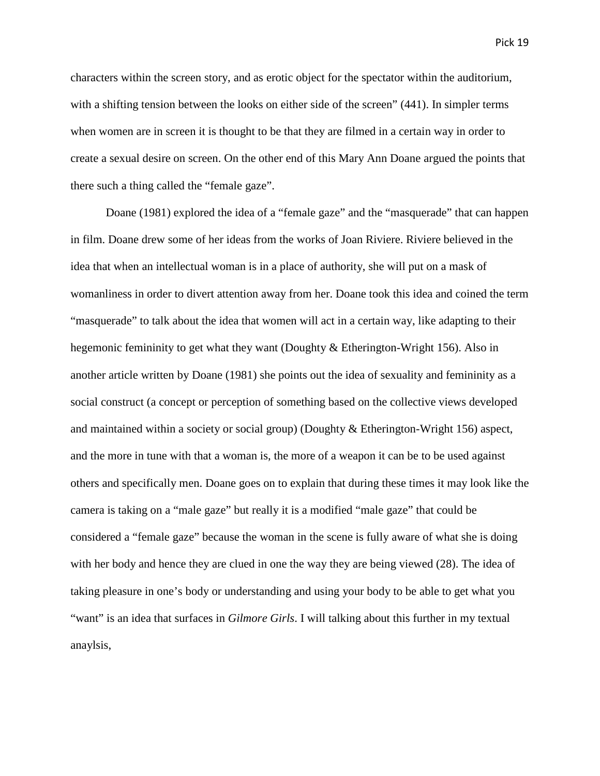characters within the screen story, and as erotic object for the spectator within the auditorium, with a shifting tension between the looks on either side of the screen" (441). In simpler terms when women are in screen it is thought to be that they are filmed in a certain way in order to create a sexual desire on screen. On the other end of this Mary Ann Doane argued the points that there such a thing called the "female gaze".

Doane (1981) explored the idea of a "female gaze" and the "masquerade" that can happen in film. Doane drew some of her ideas from the works of Joan Riviere. Riviere believed in the idea that when an intellectual woman is in a place of authority, she will put on a mask of womanliness in order to divert attention away from her. Doane took this idea and coined the term "masquerade" to talk about the idea that women will act in a certain way, like adapting to their hegemonic femininity to get what they want (Doughty & Etherington-Wright 156). Also in another article written by Doane (1981) she points out the idea of sexuality and femininity as a social construct (a concept or perception of something based on the collective views developed and maintained within a society or social group) (Doughty & Etherington-Wright 156) aspect, and the more in tune with that a woman is, the more of a weapon it can be to be used against others and specifically men. Doane goes on to explain that during these times it may look like the camera is taking on a "male gaze" but really it is a modified "male gaze" that could be considered a "female gaze" because the woman in the scene is fully aware of what she is doing with her body and hence they are clued in one the way they are being viewed (28). The idea of taking pleasure in one's body or understanding and using your body to be able to get what you "want" is an idea that surfaces in *Gilmore Girls*. I will talking about this further in my textual anaylsis,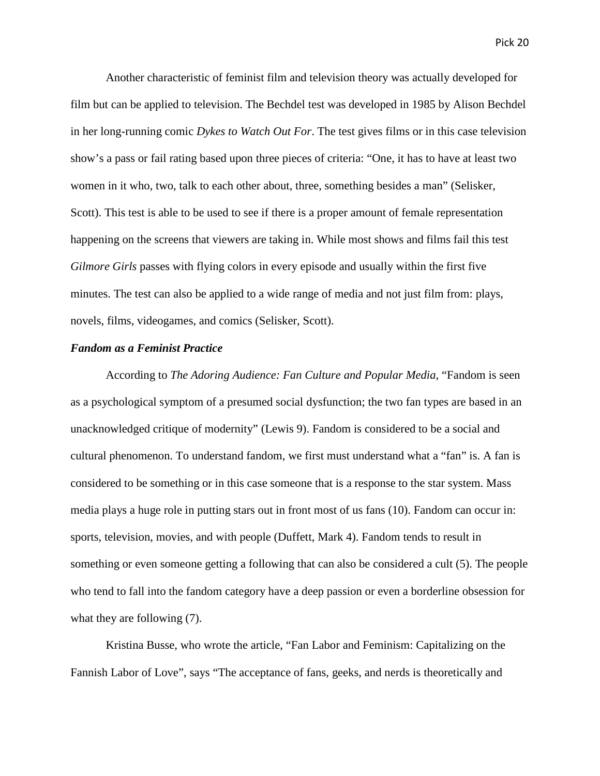Another characteristic of feminist film and television theory was actually developed for film but can be applied to television. The Bechdel test was developed in 1985 by Alison Bechdel in her long-running comic *Dykes to Watch Out For*. The test gives films or in this case television show's a pass or fail rating based upon three pieces of criteria: "One, it has to have at least two women in it who, two, talk to each other about, three, something besides a man" (Selisker, Scott). This test is able to be used to see if there is a proper amount of female representation happening on the screens that viewers are taking in. While most shows and films fail this test *Gilmore Girls* passes with flying colors in every episode and usually within the first five minutes. The test can also be applied to a wide range of media and not just film from: plays, novels, films, videogames, and comics (Selisker, Scott).

# *Fandom as a Feminist Practice*

According to *The Adoring Audience: Fan Culture and Popular Media,* "Fandom is seen as a psychological symptom of a presumed social dysfunction; the two fan types are based in an unacknowledged critique of modernity" (Lewis 9). Fandom is considered to be a social and cultural phenomenon. To understand fandom, we first must understand what a "fan" is. A fan is considered to be something or in this case someone that is a response to the star system. Mass media plays a huge role in putting stars out in front most of us fans (10). Fandom can occur in: sports, television, movies, and with people (Duffett, Mark 4). Fandom tends to result in something or even someone getting a following that can also be considered a cult (5). The people who tend to fall into the fandom category have a deep passion or even a borderline obsession for what they are following (7).

Kristina Busse, who wrote the article, "Fan Labor and Feminism: Capitalizing on the Fannish Labor of Love", says "The acceptance of fans, geeks, and nerds is theoretically and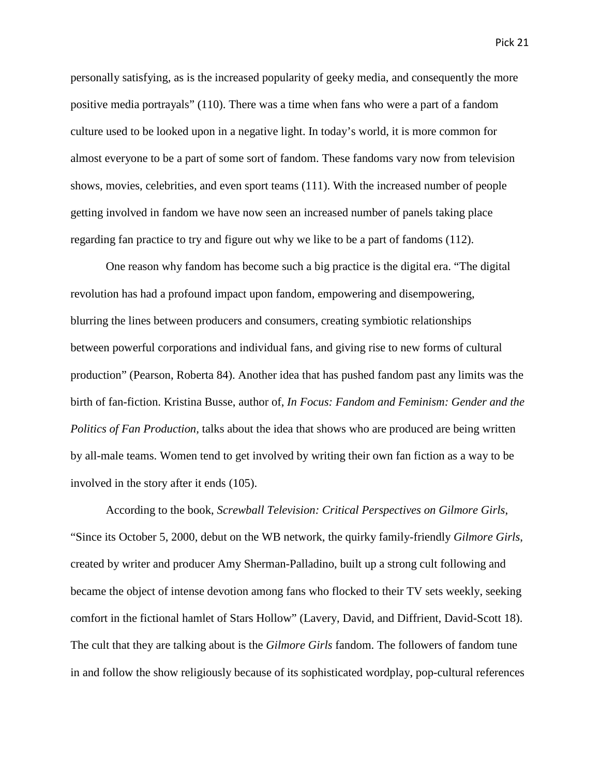personally satisfying, as is the increased popularity of geeky media, and consequently the more positive media portrayals" (110). There was a time when fans who were a part of a fandom culture used to be looked upon in a negative light. In today's world, it is more common for almost everyone to be a part of some sort of fandom. These fandoms vary now from television shows, movies, celebrities, and even sport teams (111). With the increased number of people getting involved in fandom we have now seen an increased number of panels taking place regarding fan practice to try and figure out why we like to be a part of fandoms (112).

One reason why fandom has become such a big practice is the digital era. "The digital revolution has had a profound impact upon fandom, empowering and disempowering, blurring the lines between producers and consumers, creating symbiotic relationships between powerful corporations and individual fans, and giving rise to new forms of cultural production" (Pearson, Roberta 84). Another idea that has pushed fandom past any limits was the birth of fan-fiction. Kristina Busse, author of, *In Focus: Fandom and Feminism: Gender and the Politics of Fan Production,* talks about the idea that shows who are produced are being written by all-male teams. Women tend to get involved by writing their own fan fiction as a way to be involved in the story after it ends (105).

According to the book, *Screwball Television: Critical Perspectives on Gilmore Girls*, "Since its October 5, 2000, debut on the WB network, the quirky family-friendly *Gilmore Girls*, created by writer and producer Amy Sherman-Palladino, built up a strong cult following and became the object of intense devotion among fans who flocked to their TV sets weekly, seeking comfort in the fictional hamlet of Stars Hollow" (Lavery, David, and Diffrient, David-Scott 18). The cult that they are talking about is the *Gilmore Girls* fandom. The followers of fandom tune in and follow the show religiously because of its sophisticated wordplay, pop-cultural references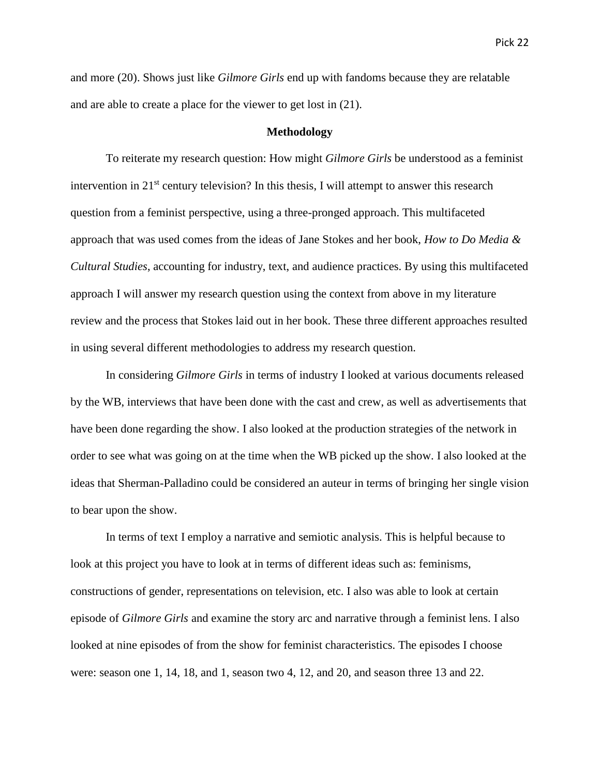and more (20). Shows just like *Gilmore Girls* end up with fandoms because they are relatable and are able to create a place for the viewer to get lost in (21).

#### **Methodology**

To reiterate my research question: How might *Gilmore Girls* be understood as a feminist intervention in  $21<sup>st</sup>$  century television? In this thesis, I will attempt to answer this research question from a feminist perspective, using a three-pronged approach. This multifaceted approach that was used comes from the ideas of Jane Stokes and her book, *How to Do Media & Cultural Studies*, accounting for industry, text, and audience practices. By using this multifaceted approach I will answer my research question using the context from above in my literature review and the process that Stokes laid out in her book. These three different approaches resulted in using several different methodologies to address my research question.

In considering *Gilmore Girls* in terms of industry I looked at various documents released by the WB, interviews that have been done with the cast and crew, as well as advertisements that have been done regarding the show. I also looked at the production strategies of the network in order to see what was going on at the time when the WB picked up the show. I also looked at the ideas that Sherman-Palladino could be considered an auteur in terms of bringing her single vision to bear upon the show.

In terms of text I employ a narrative and semiotic analysis. This is helpful because to look at this project you have to look at in terms of different ideas such as: feminisms, constructions of gender, representations on television, etc. I also was able to look at certain episode of *Gilmore Girls* and examine the story arc and narrative through a feminist lens. I also looked at nine episodes of from the show for feminist characteristics. The episodes I choose were: season one 1, 14, 18, and 1, season two 4, 12, and 20, and season three 13 and 22.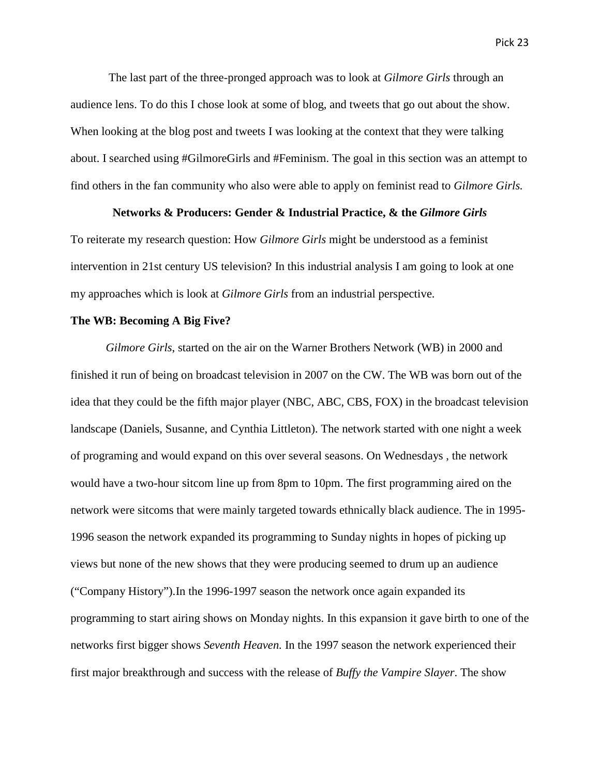The last part of the three-pronged approach was to look at *Gilmore Girls* through an audience lens. To do this I chose look at some of blog, and tweets that go out about the show. When looking at the blog post and tweets I was looking at the context that they were talking about. I searched using #GilmoreGirls and #Feminism. The goal in this section was an attempt to find others in the fan community who also were able to apply on feminist read to *Gilmore Girls.*

# **Networks & Producers: Gender & Industrial Practice, & the** *Gilmore Girls*

To reiterate my research question: How *Gilmore Girls* might be understood as a feminist intervention in 21st century US television? In this industrial analysis I am going to look at one my approaches which is look at *Gilmore Girls* from an industrial perspective.

# **The WB: Becoming A Big Five?**

*Gilmore Girls*, started on the air on the Warner Brothers Network (WB) in 2000 and finished it run of being on broadcast television in 2007 on the CW. The WB was born out of the idea that they could be the fifth major player (NBC, ABC, CBS, FOX) in the broadcast television landscape (Daniels, Susanne, and Cynthia Littleton). The network started with one night a week of programing and would expand on this over several seasons. On Wednesdays , the network would have a two-hour sitcom line up from 8pm to 10pm. The first programming aired on the network were sitcoms that were mainly targeted towards ethnically black audience. The in 1995- 1996 season the network expanded its programming to Sunday nights in hopes of picking up views but none of the new shows that they were producing seemed to drum up an audience ("Company History").In the 1996-1997 season the network once again expanded its programming to start airing shows on Monday nights. In this expansion it gave birth to one of the networks first bigger shows *Seventh Heaven.* In the 1997 season the network experienced their first major breakthrough and success with the release of *Buffy the Vampire Slayer*. The show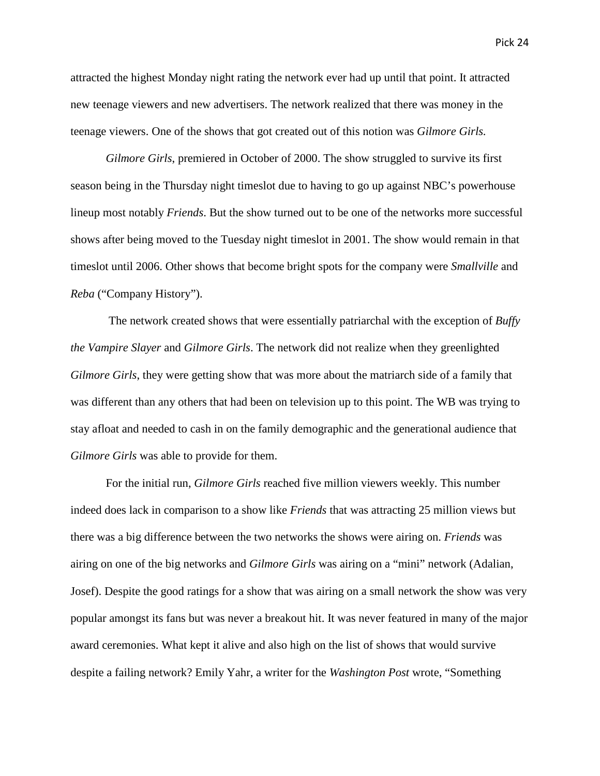attracted the highest Monday night rating the network ever had up until that point. It attracted new teenage viewers and new advertisers. The network realized that there was money in the teenage viewers. One of the shows that got created out of this notion was *Gilmore Girls.* 

*Gilmore Girls*, premiered in October of 2000. The show struggled to survive its first season being in the Thursday night timeslot due to having to go up against NBC's powerhouse lineup most notably *Friends*. But the show turned out to be one of the networks more successful shows after being moved to the Tuesday night timeslot in 2001. The show would remain in that timeslot until 2006. Other shows that become bright spots for the company were *Smallville* and *Reba* ("Company History").

The network created shows that were essentially patriarchal with the exception of *Buffy the Vampire Slayer* and *Gilmore Girls*. The network did not realize when they greenlighted *Gilmore Girls*, they were getting show that was more about the matriarch side of a family that was different than any others that had been on television up to this point. The WB was trying to stay afloat and needed to cash in on the family demographic and the generational audience that *Gilmore Girls* was able to provide for them.

For the initial run, *Gilmore Girls* reached five million viewers weekly. This number indeed does lack in comparison to a show like *Friends* that was attracting 25 million views but there was a big difference between the two networks the shows were airing on. *Friends* was airing on one of the big networks and *Gilmore Girls* was airing on a "mini" network (Adalian, Josef). Despite the good ratings for a show that was airing on a small network the show was very popular amongst its fans but was never a breakout hit. It was never featured in many of the major award ceremonies. What kept it alive and also high on the list of shows that would survive despite a failing network? Emily Yahr, a writer for the *Washington Post* wrote, "Something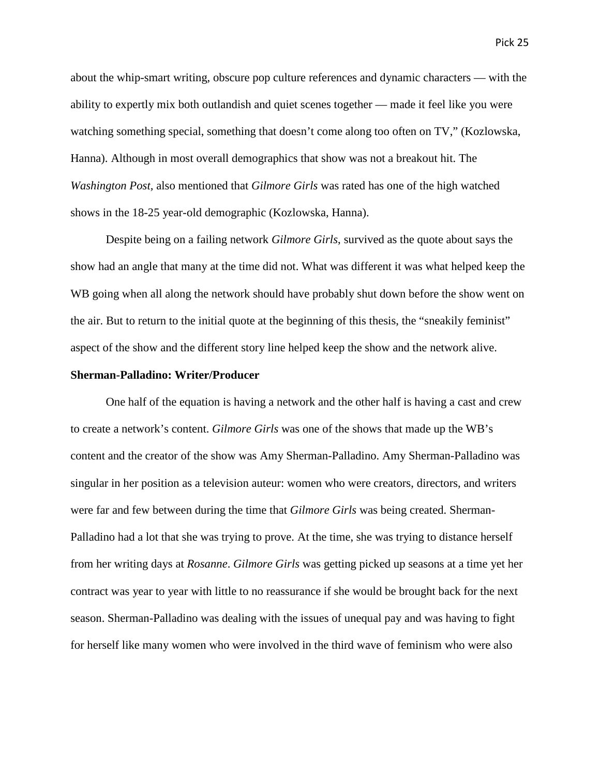about the whip-smart writing, obscure pop culture references and dynamic characters — with the ability to expertly mix both outlandish and quiet scenes together — made it feel like you were watching something special, something that doesn't come along too often on TV," (Kozlowska, Hanna). Although in most overall demographics that show was not a breakout hit. The *Washington Post,* also mentioned that *Gilmore Girls* was rated has one of the high watched shows in the 18-25 year-old demographic (Kozlowska, Hanna).

Despite being on a failing network *Gilmore Girls*, survived as the quote about says the show had an angle that many at the time did not. What was different it was what helped keep the WB going when all along the network should have probably shut down before the show went on the air. But to return to the initial quote at the beginning of this thesis, the "sneakily feminist" aspect of the show and the different story line helped keep the show and the network alive.

# **Sherman-Palladino: Writer/Producer**

One half of the equation is having a network and the other half is having a cast and crew to create a network's content. *Gilmore Girls* was one of the shows that made up the WB's content and the creator of the show was Amy Sherman-Palladino. Amy Sherman-Palladino was singular in her position as a television auteur: women who were creators, directors, and writers were far and few between during the time that *Gilmore Girls* was being created. Sherman-Palladino had a lot that she was trying to prove. At the time, she was trying to distance herself from her writing days at *Rosanne*. *Gilmore Girls* was getting picked up seasons at a time yet her contract was year to year with little to no reassurance if she would be brought back for the next season. Sherman-Palladino was dealing with the issues of unequal pay and was having to fight for herself like many women who were involved in the third wave of feminism who were also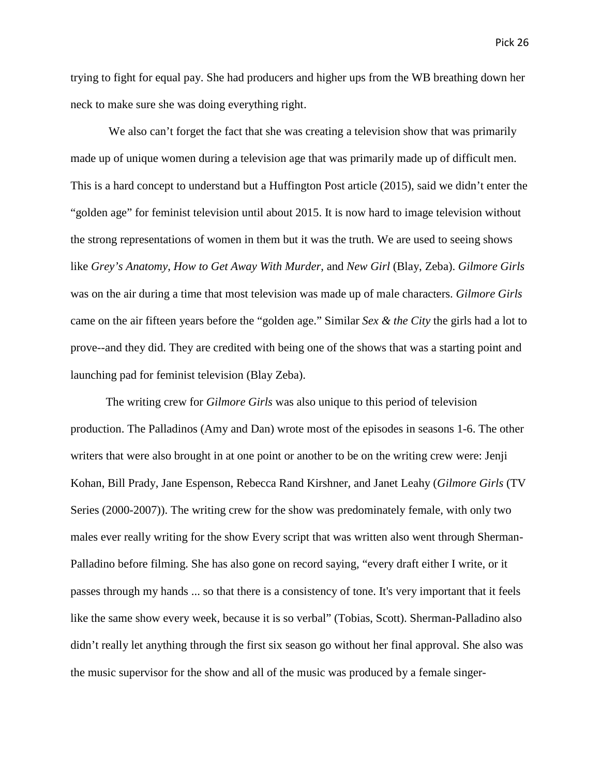trying to fight for equal pay. She had producers and higher ups from the WB breathing down her neck to make sure she was doing everything right.

We also can't forget the fact that she was creating a television show that was primarily made up of unique women during a television age that was primarily made up of difficult men. This is a hard concept to understand but a Huffington Post article (2015), said we didn't enter the "golden age" for feminist television until about 2015. It is now hard to image television without the strong representations of women in them but it was the truth. We are used to seeing shows like *Grey's Anatomy*, *How to Get Away With Murder*, and *New Girl* (Blay, Zeba). *Gilmore Girls* was on the air during a time that most television was made up of male characters. *Gilmore Girls* came on the air fifteen years before the "golden age." Similar *Sex & the City* the girls had a lot to prove--and they did. They are credited with being one of the shows that was a starting point and launching pad for feminist television (Blay Zeba).

The writing crew for *Gilmore Girls* was also unique to this period of television production. The Palladinos (Amy and Dan) wrote most of the episodes in seasons 1-6. The other writers that were also brought in at one point or another to be on the writing crew were: Jenji Kohan, Bill Prady, Jane Espenson, Rebecca Rand Kirshner, and Janet Leahy (*Gilmore Girls* (TV Series (2000-2007)). The writing crew for the show was predominately female, with only two males ever really writing for the show Every script that was written also went through Sherman-Palladino before filming. She has also gone on record saying, "every draft either I write, or it passes through my hands ... so that there is a consistency of tone. It's very important that it feels like the same show every week, because it is so verbal" (Tobias, Scott). Sherman-Palladino also didn't really let anything through the first six season go without her final approval. She also was the music supervisor for the show and all of the music was produced by a female singer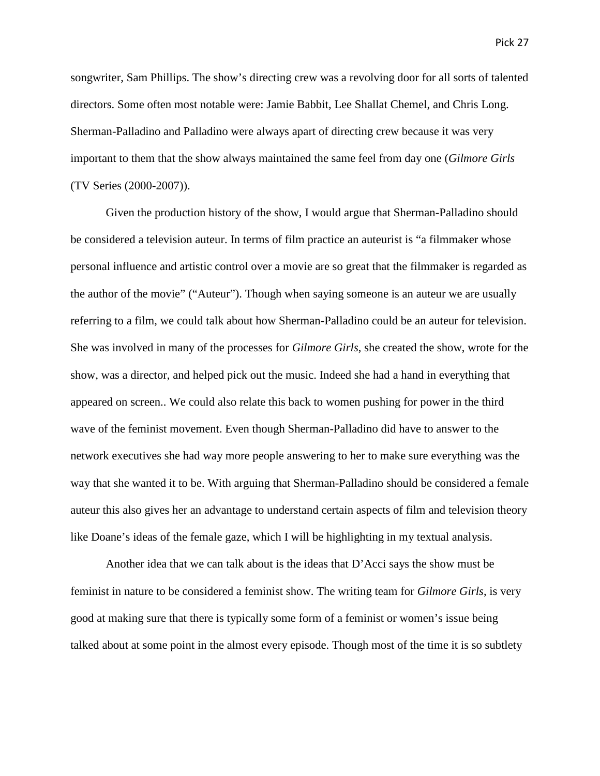songwriter, Sam Phillips. The show's directing crew was a revolving door for all sorts of talented directors. Some often most notable were: Jamie Babbit, Lee Shallat Chemel, and Chris Long. Sherman-Palladino and Palladino were always apart of directing crew because it was very important to them that the show always maintained the same feel from day one (*Gilmore Girls* (TV Series (2000-2007)).

Given the production history of the show, I would argue that Sherman-Palladino should be considered a television auteur. In terms of film practice an auteurist is "a filmmaker whose personal influence and artistic control over a movie are so great that the filmmaker is regarded as the author of the movie" ("Auteur"). Though when saying someone is an auteur we are usually referring to a film, we could talk about how Sherman-Palladino could be an auteur for television. She was involved in many of the processes for *Gilmore Girls*, she created the show, wrote for the show, was a director, and helped pick out the music. Indeed she had a hand in everything that appeared on screen.. We could also relate this back to women pushing for power in the third wave of the feminist movement. Even though Sherman-Palladino did have to answer to the network executives she had way more people answering to her to make sure everything was the way that she wanted it to be. With arguing that Sherman-Palladino should be considered a female auteur this also gives her an advantage to understand certain aspects of film and television theory like Doane's ideas of the female gaze, which I will be highlighting in my textual analysis.

Another idea that we can talk about is the ideas that D'Acci says the show must be feminist in nature to be considered a feminist show. The writing team for *Gilmore Girls*, is very good at making sure that there is typically some form of a feminist or women's issue being talked about at some point in the almost every episode. Though most of the time it is so subtlety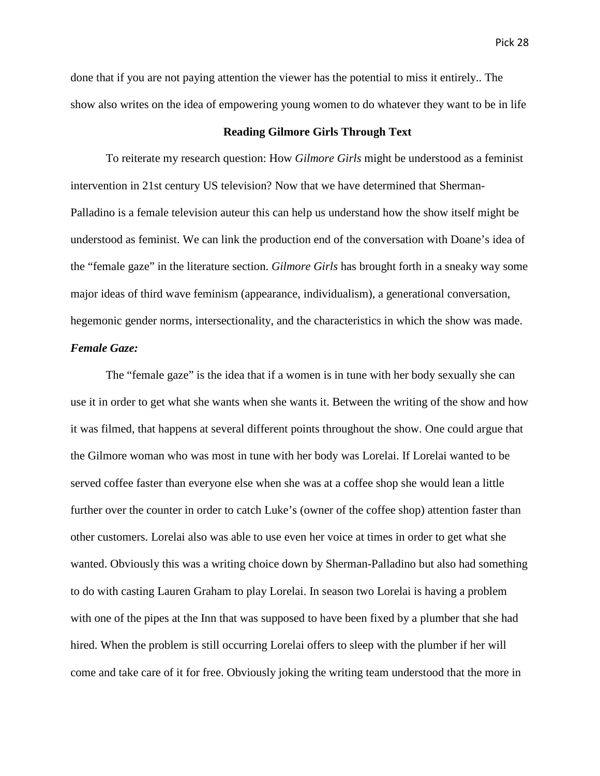done that if you are not paying attention the viewer has the potential to miss it entirely.. The show also writes on the idea of empowering young women to do whatever they want to be in life

# **Reading Gilmore Girls Through Text**

To reiterate my research question: How *Gilmore Girls* might be understood as a feminist intervention in 21st century US television? Now that we have determined that Sherman-Palladino is a female television auteur this can help us understand how the show itself might be understood as feminist. We can link the production end of the conversation with Doane's idea of the "female gaze" in the literature section. *Gilmore Girls* has brought forth in a sneaky way some major ideas of third wave feminism (appearance, individualism), a generational conversation, hegemonic gender norms, intersectionality, and the characteristics in which the show was made. *Female Gaze:*

The "female gaze" is the idea that if a women is in tune with her body sexually she can use it in order to get what she wants when she wants it. Between the writing of the show and how it was filmed, that happens at several different points throughout the show. One could argue that the Gilmore woman who was most in tune with her body was Lorelai. If Lorelai wanted to be served coffee faster than everyone else when she was at a coffee shop she would lean a little further over the counter in order to catch Luke's (owner of the coffee shop) attention faster than other customers. Lorelai also was able to use even her voice at times in order to get what she wanted. Obviously this was a writing choice down by Sherman-Palladino but also had something to do with casting Lauren Graham to play Lorelai. In season two Lorelai is having a problem with one of the pipes at the Inn that was supposed to have been fixed by a plumber that she had hired. When the problem is still occurring Lorelai offers to sleep with the plumber if her will come and take care of it for free. Obviously joking the writing team understood that the more in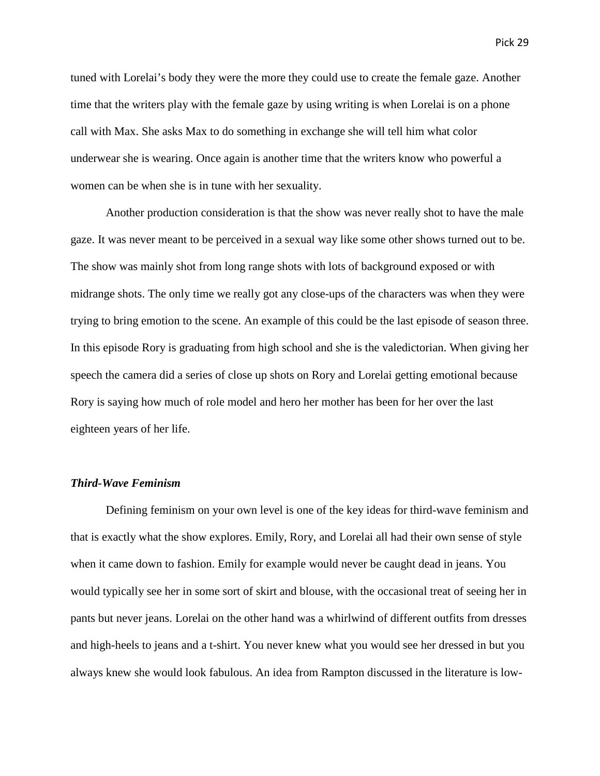tuned with Lorelai's body they were the more they could use to create the female gaze. Another time that the writers play with the female gaze by using writing is when Lorelai is on a phone call with Max. She asks Max to do something in exchange she will tell him what color underwear she is wearing. Once again is another time that the writers know who powerful a women can be when she is in tune with her sexuality.

Another production consideration is that the show was never really shot to have the male gaze. It was never meant to be perceived in a sexual way like some other shows turned out to be. The show was mainly shot from long range shots with lots of background exposed or with midrange shots. The only time we really got any close-ups of the characters was when they were trying to bring emotion to the scene. An example of this could be the last episode of season three. In this episode Rory is graduating from high school and she is the valedictorian. When giving her speech the camera did a series of close up shots on Rory and Lorelai getting emotional because Rory is saying how much of role model and hero her mother has been for her over the last eighteen years of her life.

# *Third-Wave Feminism*

Defining feminism on your own level is one of the key ideas for third-wave feminism and that is exactly what the show explores. Emily, Rory, and Lorelai all had their own sense of style when it came down to fashion. Emily for example would never be caught dead in jeans. You would typically see her in some sort of skirt and blouse, with the occasional treat of seeing her in pants but never jeans. Lorelai on the other hand was a whirlwind of different outfits from dresses and high-heels to jeans and a t-shirt. You never knew what you would see her dressed in but you always knew she would look fabulous. An idea from Rampton discussed in the literature is low-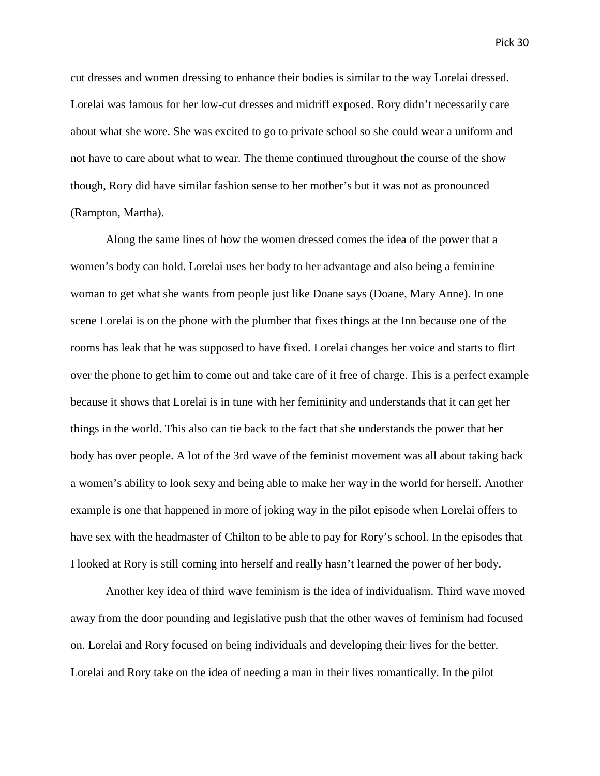cut dresses and women dressing to enhance their bodies is similar to the way Lorelai dressed. Lorelai was famous for her low-cut dresses and midriff exposed. Rory didn't necessarily care about what she wore. She was excited to go to private school so she could wear a uniform and not have to care about what to wear. The theme continued throughout the course of the show though, Rory did have similar fashion sense to her mother's but it was not as pronounced (Rampton, Martha).

Along the same lines of how the women dressed comes the idea of the power that a women's body can hold. Lorelai uses her body to her advantage and also being a feminine woman to get what she wants from people just like Doane says (Doane, Mary Anne). In one scene Lorelai is on the phone with the plumber that fixes things at the Inn because one of the rooms has leak that he was supposed to have fixed. Lorelai changes her voice and starts to flirt over the phone to get him to come out and take care of it free of charge. This is a perfect example because it shows that Lorelai is in tune with her femininity and understands that it can get her things in the world. This also can tie back to the fact that she understands the power that her body has over people. A lot of the 3rd wave of the feminist movement was all about taking back a women's ability to look sexy and being able to make her way in the world for herself. Another example is one that happened in more of joking way in the pilot episode when Lorelai offers to have sex with the headmaster of Chilton to be able to pay for Rory's school. In the episodes that I looked at Rory is still coming into herself and really hasn't learned the power of her body.

Another key idea of third wave feminism is the idea of individualism. Third wave moved away from the door pounding and legislative push that the other waves of feminism had focused on. Lorelai and Rory focused on being individuals and developing their lives for the better. Lorelai and Rory take on the idea of needing a man in their lives romantically. In the pilot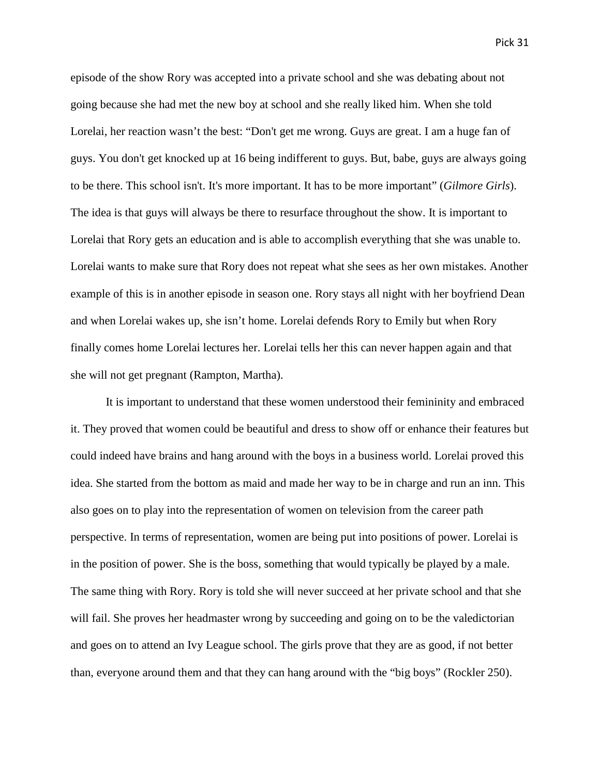episode of the show Rory was accepted into a private school and she was debating about not going because she had met the new boy at school and she really liked him. When she told Lorelai, her reaction wasn't the best: "Don't get me wrong. Guys are great. I am a huge fan of guys. You don't get knocked up at 16 being indifferent to guys. But, babe, guys are always going to be there. This school isn't. It's more important. It has to be more important" (*Gilmore Girls*). The idea is that guys will always be there to resurface throughout the show. It is important to Lorelai that Rory gets an education and is able to accomplish everything that she was unable to. Lorelai wants to make sure that Rory does not repeat what she sees as her own mistakes. Another example of this is in another episode in season one. Rory stays all night with her boyfriend Dean and when Lorelai wakes up, she isn't home. Lorelai defends Rory to Emily but when Rory finally comes home Lorelai lectures her. Lorelai tells her this can never happen again and that she will not get pregnant (Rampton, Martha).

It is important to understand that these women understood their femininity and embraced it. They proved that women could be beautiful and dress to show off or enhance their features but could indeed have brains and hang around with the boys in a business world. Lorelai proved this idea. She started from the bottom as maid and made her way to be in charge and run an inn. This also goes on to play into the representation of women on television from the career path perspective. In terms of representation, women are being put into positions of power. Lorelai is in the position of power. She is the boss, something that would typically be played by a male. The same thing with Rory. Rory is told she will never succeed at her private school and that she will fail. She proves her headmaster wrong by succeeding and going on to be the valedictorian and goes on to attend an Ivy League school. The girls prove that they are as good, if not better than, everyone around them and that they can hang around with the "big boys" (Rockler 250).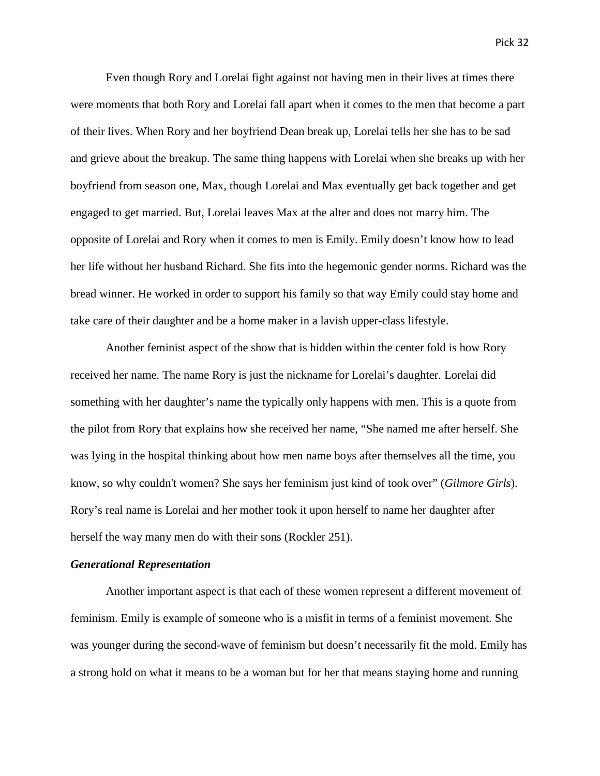Even though Rory and Lorelai fight against not having men in their lives at times there were moments that both Rory and Lorelai fall apart when it comes to the men that become a part of their lives. When Rory and her boyfriend Dean break up, Lorelai tells her she has to be sad and grieve about the breakup. The same thing happens with Lorelai when she breaks up with her boyfriend from season one, Max, though Lorelai and Max eventually get back together and get engaged to get married. But, Lorelai leaves Max at the alter and does not marry him. The opposite of Lorelai and Rory when it comes to men is Emily. Emily doesn't know how to lead her life without her husband Richard. She fits into the hegemonic gender norms. Richard was the bread winner. He worked in order to support his family so that way Emily could stay home and take care of their daughter and be a home maker in a lavish upper-class lifestyle.

Another feminist aspect of the show that is hidden within the center fold is how Rory received her name. The name Rory is just the nickname for Lorelai's daughter. Lorelai did something with her daughter's name the typically only happens with men. This is a quote from the pilot from Rory that explains how she received her name, "She named me after herself. She was lying in the hospital thinking about how men name boys after themselves all the time, you know, so why couldn't women? She says her feminism just kind of took over" (*Gilmore Girls*). Rory's real name is Lorelai and her mother took it upon herself to name her daughter after herself the way many men do with their sons (Rockler 251).

# *Generational Representation*

Another important aspect is that each of these women represent a different movement of feminism. Emily is example of someone who is a misfit in terms of a feminist movement. She was younger during the second-wave of feminism but doesn't necessarily fit the mold. Emily has a strong hold on what it means to be a woman but for her that means staying home and running

Pick 32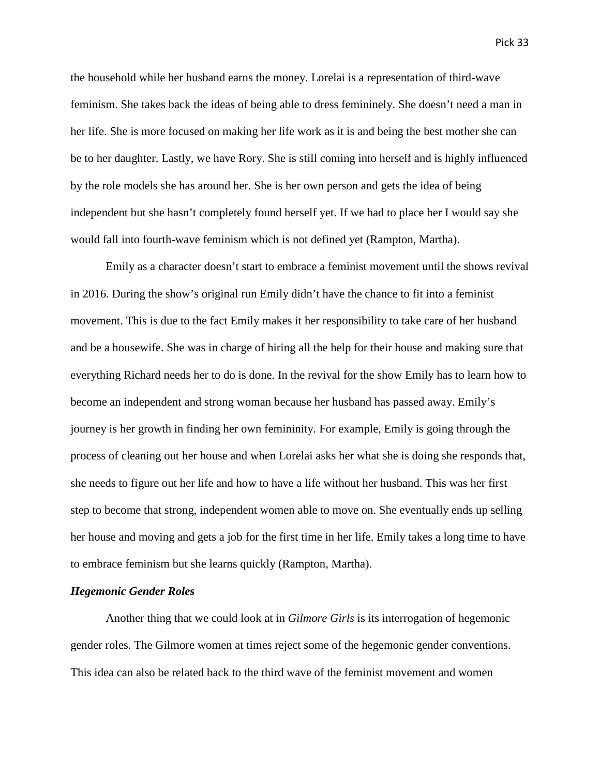the household while her husband earns the money. Lorelai is a representation of third-wave feminism. She takes back the ideas of being able to dress femininely. She doesn't need a man in her life. She is more focused on making her life work as it is and being the best mother she can be to her daughter. Lastly, we have Rory. She is still coming into herself and is highly influenced by the role models she has around her. She is her own person and gets the idea of being independent but she hasn't completely found herself yet. If we had to place her I would say she would fall into fourth-wave feminism which is not defined yet (Rampton, Martha).

Emily as a character doesn't start to embrace a feminist movement until the shows revival in 2016. During the show's original run Emily didn't have the chance to fit into a feminist movement. This is due to the fact Emily makes it her responsibility to take care of her husband and be a housewife. She was in charge of hiring all the help for their house and making sure that everything Richard needs her to do is done. In the revival for the show Emily has to learn how to become an independent and strong woman because her husband has passed away. Emily's journey is her growth in finding her own femininity. For example, Emily is going through the process of cleaning out her house and when Lorelai asks her what she is doing she responds that, she needs to figure out her life and how to have a life without her husband. This was her first step to become that strong, independent women able to move on. She eventually ends up selling her house and moving and gets a job for the first time in her life. Emily takes a long time to have to embrace feminism but she learns quickly (Rampton, Martha).

# *Hegemonic Gender Roles*

Another thing that we could look at in *Gilmore Girls* is its interrogation of hegemonic gender roles. The Gilmore women at times reject some of the hegemonic gender conventions. This idea can also be related back to the third wave of the feminist movement and women

Pick 33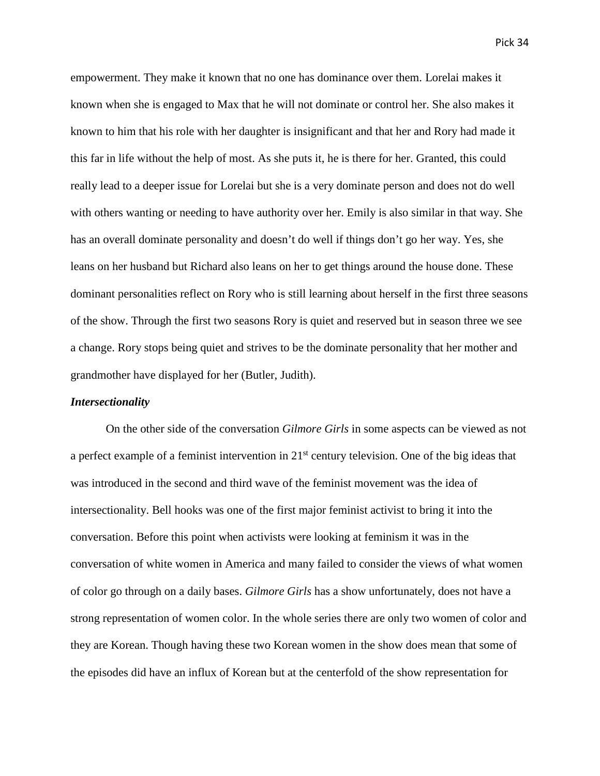empowerment. They make it known that no one has dominance over them. Lorelai makes it known when she is engaged to Max that he will not dominate or control her. She also makes it known to him that his role with her daughter is insignificant and that her and Rory had made it this far in life without the help of most. As she puts it, he is there for her. Granted, this could really lead to a deeper issue for Lorelai but she is a very dominate person and does not do well with others wanting or needing to have authority over her. Emily is also similar in that way. She has an overall dominate personality and doesn't do well if things don't go her way. Yes, she leans on her husband but Richard also leans on her to get things around the house done. These dominant personalities reflect on Rory who is still learning about herself in the first three seasons of the show. Through the first two seasons Rory is quiet and reserved but in season three we see a change. Rory stops being quiet and strives to be the dominate personality that her mother and grandmother have displayed for her (Butler, Judith).

# *Intersectionality*

On the other side of the conversation *Gilmore Girls* in some aspects can be viewed as not a perfect example of a feminist intervention in 21<sup>st</sup> century television. One of the big ideas that was introduced in the second and third wave of the feminist movement was the idea of intersectionality. Bell hooks was one of the first major feminist activist to bring it into the conversation. Before this point when activists were looking at feminism it was in the conversation of white women in America and many failed to consider the views of what women of color go through on a daily bases. *Gilmore Girls* has a show unfortunately, does not have a strong representation of women color. In the whole series there are only two women of color and they are Korean. Though having these two Korean women in the show does mean that some of the episodes did have an influx of Korean but at the centerfold of the show representation for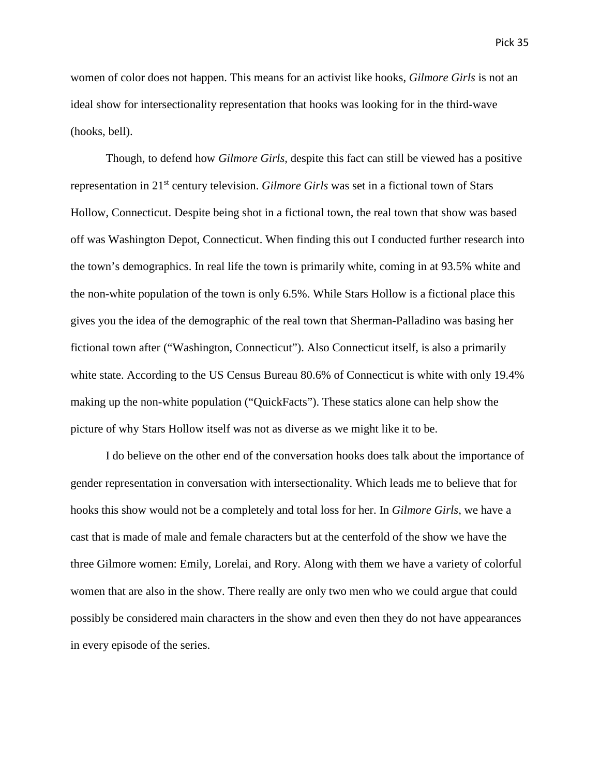women of color does not happen. This means for an activist like hooks, *Gilmore Girls* is not an ideal show for intersectionality representation that hooks was looking for in the third-wave (hooks, bell).

Though, to defend how *Gilmore Girls,* despite this fact can still be viewed has a positive representation in 21st century television. *Gilmore Girls* was set in a fictional town of Stars Hollow, Connecticut. Despite being shot in a fictional town, the real town that show was based off was Washington Depot, Connecticut. When finding this out I conducted further research into the town's demographics. In real life the town is primarily white, coming in at 93.5% white and the non-white population of the town is only 6.5%. While Stars Hollow is a fictional place this gives you the idea of the demographic of the real town that Sherman-Palladino was basing her fictional town after ("Washington, Connecticut"). Also Connecticut itself, is also a primarily white state. According to the US Census Bureau 80.6% of Connecticut is white with only 19.4% making up the non-white population ("QuickFacts"). These statics alone can help show the picture of why Stars Hollow itself was not as diverse as we might like it to be.

I do believe on the other end of the conversation hooks does talk about the importance of gender representation in conversation with intersectionality. Which leads me to believe that for hooks this show would not be a completely and total loss for her. In *Gilmore Girls,* we have a cast that is made of male and female characters but at the centerfold of the show we have the three Gilmore women: Emily, Lorelai, and Rory. Along with them we have a variety of colorful women that are also in the show. There really are only two men who we could argue that could possibly be considered main characters in the show and even then they do not have appearances in every episode of the series.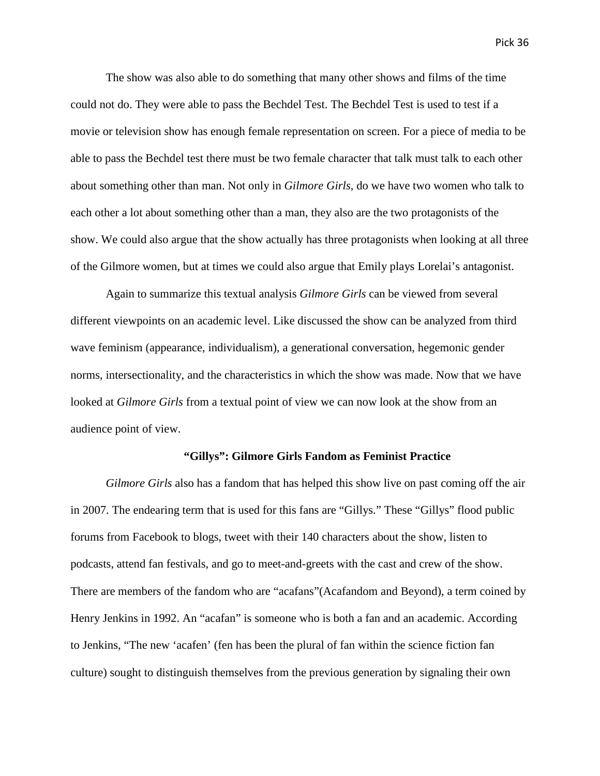The show was also able to do something that many other shows and films of the time could not do. They were able to pass the Bechdel Test. The Bechdel Test is used to test if a movie or television show has enough female representation on screen. For a piece of media to be able to pass the Bechdel test there must be two female character that talk must talk to each other about something other than man. Not only in *Gilmore Girls,* do we have two women who talk to each other a lot about something other than a man, they also are the two protagonists of the show. We could also argue that the show actually has three protagonists when looking at all three

Again to summarize this textual analysis *Gilmore Girls* can be viewed from several different viewpoints on an academic level. Like discussed the show can be analyzed from third wave feminism (appearance, individualism), a generational conversation, hegemonic gender norms, intersectionality, and the characteristics in which the show was made. Now that we have looked at *Gilmore Girls* from a textual point of view we can now look at the show from an audience point of view.

of the Gilmore women, but at times we could also argue that Emily plays Lorelai's antagonist.

#### **"Gillys": Gilmore Girls Fandom as Feminist Practice**

*Gilmore Girls* also has a fandom that has helped this show live on past coming off the air in 2007. The endearing term that is used for this fans are "Gillys." These "Gillys" flood public forums from Facebook to blogs, tweet with their 140 characters about the show, listen to podcasts, attend fan festivals, and go to meet-and-greets with the cast and crew of the show. There are members of the fandom who are "acafans"(Acafandom and Beyond), a term coined by Henry Jenkins in 1992. An "acafan" is someone who is both a fan and an academic. According to Jenkins, "The new 'acafen' (fen has been the plural of fan within the science fiction fan culture) sought to distinguish themselves from the previous generation by signaling their own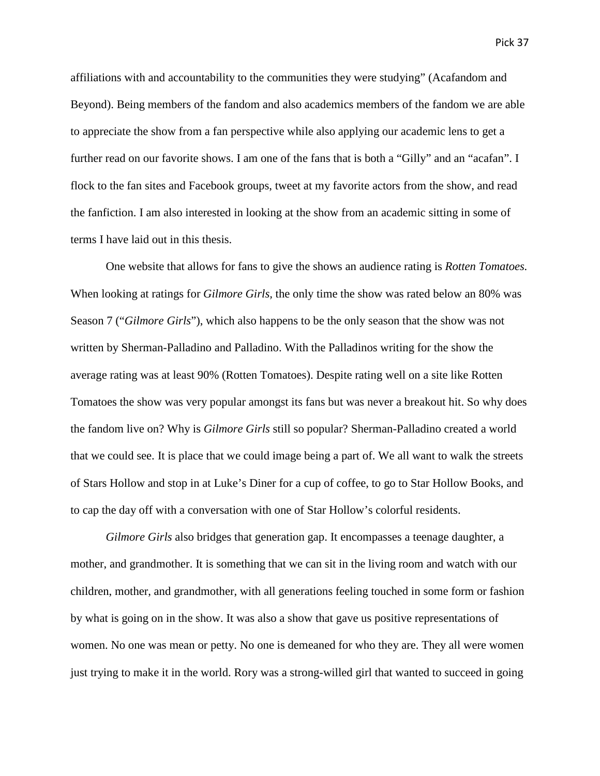affiliations with and accountability to the communities they were studying" (Acafandom and Beyond). Being members of the fandom and also academics members of the fandom we are able to appreciate the show from a fan perspective while also applying our academic lens to get a further read on our favorite shows. I am one of the fans that is both a "Gilly" and an "acafan". I flock to the fan sites and Facebook groups, tweet at my favorite actors from the show, and read the fanfiction. I am also interested in looking at the show from an academic sitting in some of terms I have laid out in this thesis.

One website that allows for fans to give the shows an audience rating is *Rotten Tomatoes.*  When looking at ratings for *Gilmore Girls,* the only time the show was rated below an 80% was Season 7 ("*Gilmore Girls*"), which also happens to be the only season that the show was not written by Sherman-Palladino and Palladino. With the Palladinos writing for the show the average rating was at least 90% (Rotten Tomatoes). Despite rating well on a site like Rotten Tomatoes the show was very popular amongst its fans but was never a breakout hit. So why does the fandom live on? Why is *Gilmore Girls* still so popular? Sherman-Palladino created a world that we could see. It is place that we could image being a part of. We all want to walk the streets of Stars Hollow and stop in at Luke's Diner for a cup of coffee, to go to Star Hollow Books, and to cap the day off with a conversation with one of Star Hollow's colorful residents.

*Gilmore Girls* also bridges that generation gap. It encompasses a teenage daughter, a mother, and grandmother. It is something that we can sit in the living room and watch with our children, mother, and grandmother, with all generations feeling touched in some form or fashion by what is going on in the show. It was also a show that gave us positive representations of women. No one was mean or petty. No one is demeaned for who they are. They all were women just trying to make it in the world. Rory was a strong-willed girl that wanted to succeed in going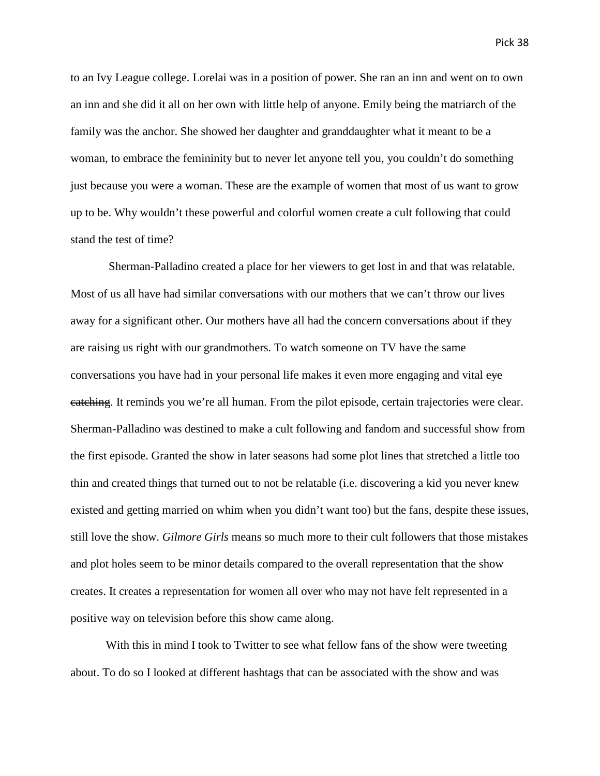to an Ivy League college. Lorelai was in a position of power. She ran an inn and went on to own an inn and she did it all on her own with little help of anyone. Emily being the matriarch of the family was the anchor. She showed her daughter and granddaughter what it meant to be a woman, to embrace the femininity but to never let anyone tell you, you couldn't do something just because you were a woman. These are the example of women that most of us want to grow up to be. Why wouldn't these powerful and colorful women create a cult following that could stand the test of time?

Sherman-Palladino created a place for her viewers to get lost in and that was relatable. Most of us all have had similar conversations with our mothers that we can't throw our lives away for a significant other. Our mothers have all had the concern conversations about if they are raising us right with our grandmothers. To watch someone on TV have the same conversations you have had in your personal life makes it even more engaging and vital eye catching. It reminds you we're all human. From the pilot episode, certain trajectories were clear. Sherman-Palladino was destined to make a cult following and fandom and successful show from the first episode. Granted the show in later seasons had some plot lines that stretched a little too thin and created things that turned out to not be relatable (i.e. discovering a kid you never knew existed and getting married on whim when you didn't want too) but the fans, despite these issues, still love the show. *Gilmore Girls* means so much more to their cult followers that those mistakes and plot holes seem to be minor details compared to the overall representation that the show creates. It creates a representation for women all over who may not have felt represented in a positive way on television before this show came along.

With this in mind I took to Twitter to see what fellow fans of the show were tweeting about. To do so I looked at different hashtags that can be associated with the show and was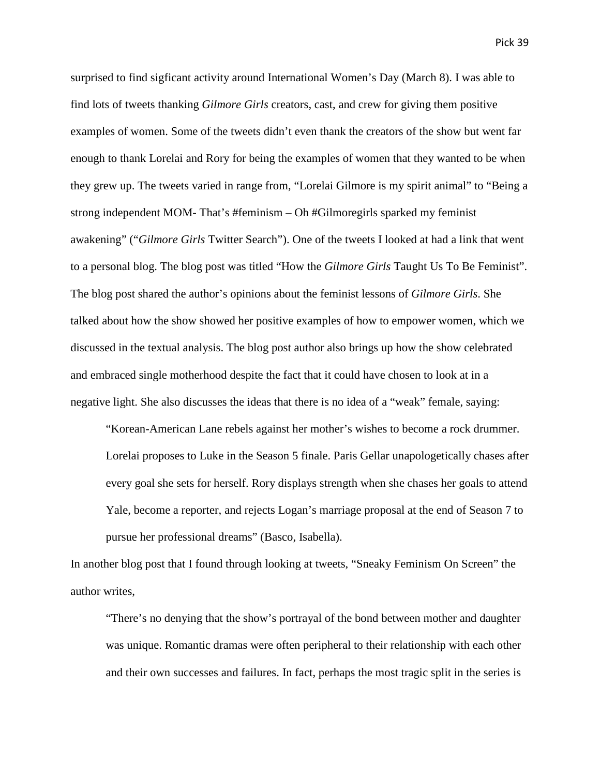surprised to find sigficant activity around International Women's Day (March 8). I was able to find lots of tweets thanking *Gilmore Girls* creators, cast, and crew for giving them positive examples of women. Some of the tweets didn't even thank the creators of the show but went far enough to thank Lorelai and Rory for being the examples of women that they wanted to be when they grew up. The tweets varied in range from, "Lorelai Gilmore is my spirit animal" to "Being a strong independent MOM- That's #feminism – Oh #Gilmoregirls sparked my feminist awakening" ("*Gilmore Girls* Twitter Search"). One of the tweets I looked at had a link that went to a personal blog. The blog post was titled "How the *Gilmore Girls* Taught Us To Be Feminist". The blog post shared the author's opinions about the feminist lessons of *Gilmore Girls*. She talked about how the show showed her positive examples of how to empower women, which we discussed in the textual analysis. The blog post author also brings up how the show celebrated and embraced single motherhood despite the fact that it could have chosen to look at in a negative light. She also discusses the ideas that there is no idea of a "weak" female, saying:

"Korean-American Lane rebels against her mother's wishes to become a rock drummer. Lorelai proposes to Luke in the Season 5 finale. Paris Gellar unapologetically chases after every goal she sets for herself. Rory displays strength when she chases her goals to attend Yale, become a reporter, and rejects Logan's marriage proposal at the end of Season 7 to pursue her professional dreams" (Basco, Isabella).

In another blog post that I found through looking at tweets, "Sneaky Feminism On Screen" the author writes,

"There's no denying that the show's portrayal of the bond between mother and daughter was unique. Romantic dramas were often peripheral to their relationship with each other and their own successes and failures. In fact, perhaps the most tragic split in the series is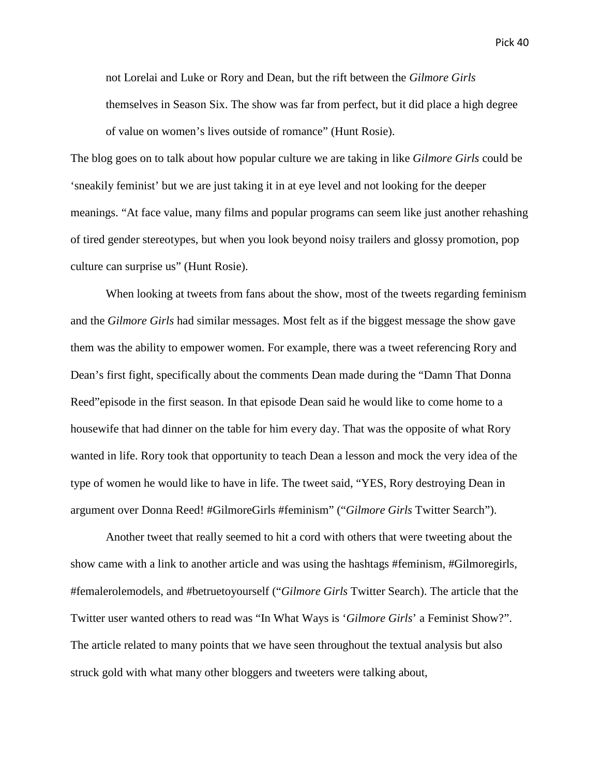not Lorelai and Luke or Rory and Dean, but the rift between the *Gilmore Girls* themselves in Season Six. The show was far from perfect, but it did place a high degree of value on women's lives outside of romance" (Hunt Rosie).

The blog goes on to talk about how popular culture we are taking in like *Gilmore Girls* could be 'sneakily feminist' but we are just taking it in at eye level and not looking for the deeper meanings. "At face value, many films and popular programs can seem like just another rehashing of tired gender stereotypes, but when you look beyond noisy trailers and glossy promotion, pop culture can surprise us" (Hunt Rosie).

When looking at tweets from fans about the show, most of the tweets regarding feminism and the *Gilmore Girls* had similar messages. Most felt as if the biggest message the show gave them was the ability to empower women. For example, there was a tweet referencing Rory and Dean's first fight, specifically about the comments Dean made during the "Damn That Donna Reed"episode in the first season. In that episode Dean said he would like to come home to a housewife that had dinner on the table for him every day. That was the opposite of what Rory wanted in life. Rory took that opportunity to teach Dean a lesson and mock the very idea of the type of women he would like to have in life. The tweet said, "YES, Rory destroying Dean in argument over Donna Reed! #GilmoreGirls #feminism" ("*Gilmore Girls* Twitter Search").

Another tweet that really seemed to hit a cord with others that were tweeting about the show came with a link to another article and was using the hashtags #feminism, #Gilmoregirls, #femalerolemodels, and #betruetoyourself ("*Gilmore Girls* Twitter Search). The article that the Twitter user wanted others to read was "In What Ways is '*Gilmore Girls*' a Feminist Show?". The article related to many points that we have seen throughout the textual analysis but also struck gold with what many other bloggers and tweeters were talking about,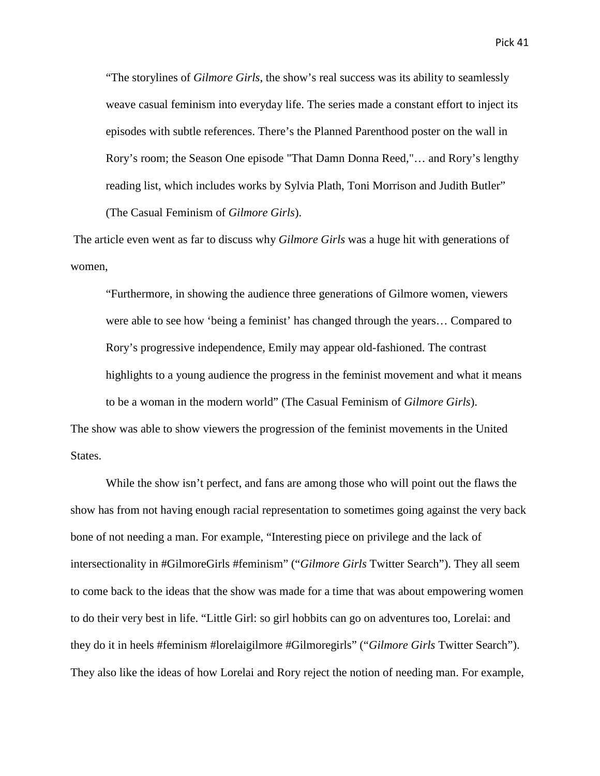"The storylines of *Gilmore Girls*, the show's real success was its ability to seamlessly weave casual feminism into everyday life. The series made a constant effort to inject its episodes with subtle references. There's the Planned Parenthood poster on the wall in Rory's room; the Season One episode "That Damn Donna Reed,"… and Rory's lengthy reading list, which includes works by Sylvia Plath, Toni Morrison and Judith Butler" (The Casual Feminism of *Gilmore Girls*).

The article even went as far to discuss why *Gilmore Girls* was a huge hit with generations of women,

"Furthermore, in showing the audience three generations of Gilmore women, viewers were able to see how 'being a feminist' has changed through the years… Compared to Rory's progressive independence, Emily may appear old-fashioned. The contrast highlights to a young audience the progress in the feminist movement and what it means to be a woman in the modern world" (The Casual Feminism of *Gilmore Girls*).

The show was able to show viewers the progression of the feminist movements in the United States.

While the show isn't perfect, and fans are among those who will point out the flaws the show has from not having enough racial representation to sometimes going against the very back bone of not needing a man. For example, "Interesting piece on privilege and the lack of intersectionality in #GilmoreGirls #feminism" ("*Gilmore Girls* Twitter Search"). They all seem to come back to the ideas that the show was made for a time that was about empowering women to do their very best in life. "Little Girl: so girl hobbits can go on adventures too, Lorelai: and they do it in heels #feminism #lorelaigilmore #Gilmoregirls" ("*Gilmore Girls* Twitter Search"). They also like the ideas of how Lorelai and Rory reject the notion of needing man. For example,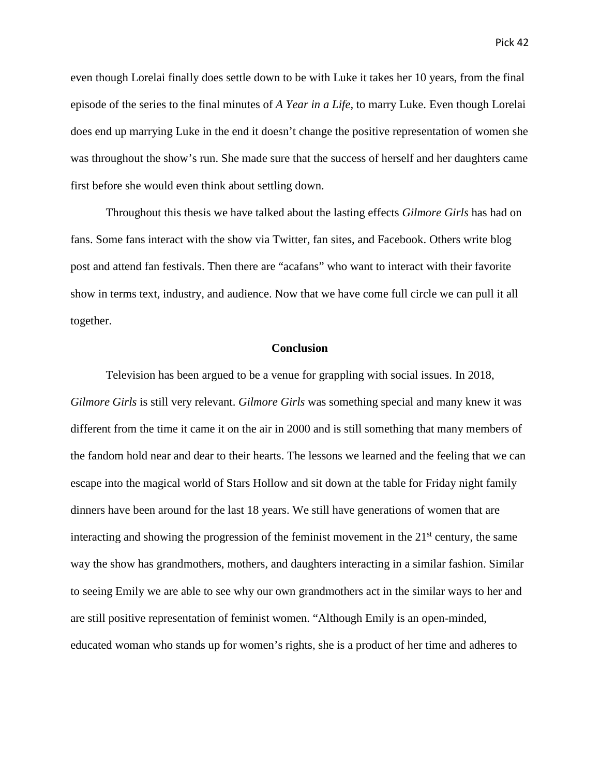even though Lorelai finally does settle down to be with Luke it takes her 10 years, from the final episode of the series to the final minutes of *A Year in a Life,* to marry Luke. Even though Lorelai does end up marrying Luke in the end it doesn't change the positive representation of women she was throughout the show's run. She made sure that the success of herself and her daughters came first before she would even think about settling down.

Throughout this thesis we have talked about the lasting effects *Gilmore Girls* has had on fans. Some fans interact with the show via Twitter, fan sites, and Facebook. Others write blog post and attend fan festivals. Then there are "acafans" who want to interact with their favorite show in terms text, industry, and audience. Now that we have come full circle we can pull it all together.

# **Conclusion**

Television has been argued to be a venue for grappling with social issues. In 2018, *Gilmore Girls* is still very relevant. *Gilmore Girls* was something special and many knew it was different from the time it came it on the air in 2000 and is still something that many members of the fandom hold near and dear to their hearts. The lessons we learned and the feeling that we can escape into the magical world of Stars Hollow and sit down at the table for Friday night family dinners have been around for the last 18 years. We still have generations of women that are interacting and showing the progression of the feminist movement in the  $21<sup>st</sup>$  century, the same way the show has grandmothers, mothers, and daughters interacting in a similar fashion. Similar to seeing Emily we are able to see why our own grandmothers act in the similar ways to her and are still positive representation of feminist women. "Although Emily is an open-minded, educated woman who stands up for women's rights, she is a product of her time and adheres to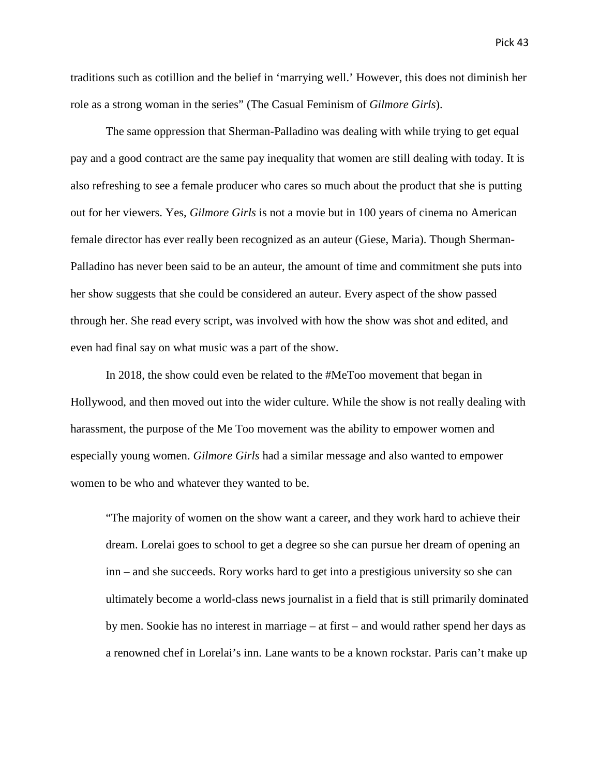traditions such as cotillion and the belief in 'marrying well.' However, this does not diminish her role as a strong woman in the series" (The Casual Feminism of *Gilmore Girls*).

The same oppression that Sherman-Palladino was dealing with while trying to get equal pay and a good contract are the same pay inequality that women are still dealing with today. It is also refreshing to see a female producer who cares so much about the product that she is putting out for her viewers. Yes, *Gilmore Girls* is not a movie but in 100 years of cinema no American female director has ever really been recognized as an auteur (Giese, Maria). Though Sherman-Palladino has never been said to be an auteur, the amount of time and commitment she puts into her show suggests that she could be considered an auteur. Every aspect of the show passed through her. She read every script, was involved with how the show was shot and edited, and even had final say on what music was a part of the show.

In 2018, the show could even be related to the #MeToo movement that began in Hollywood, and then moved out into the wider culture. While the show is not really dealing with harassment, the purpose of the Me Too movement was the ability to empower women and especially young women. *Gilmore Girls* had a similar message and also wanted to empower women to be who and whatever they wanted to be.

"The majority of women on the show want a career, and they work hard to achieve their dream. Lorelai goes to school to get a degree so she can pursue her dream of opening an inn – and she succeeds. Rory works hard to get into a prestigious university so she can ultimately become a world-class news journalist in a field that is still primarily dominated by men. Sookie has no interest in marriage – at first – and would rather spend her days as a renowned chef in Lorelai's inn. Lane wants to be a known rockstar. Paris can't make up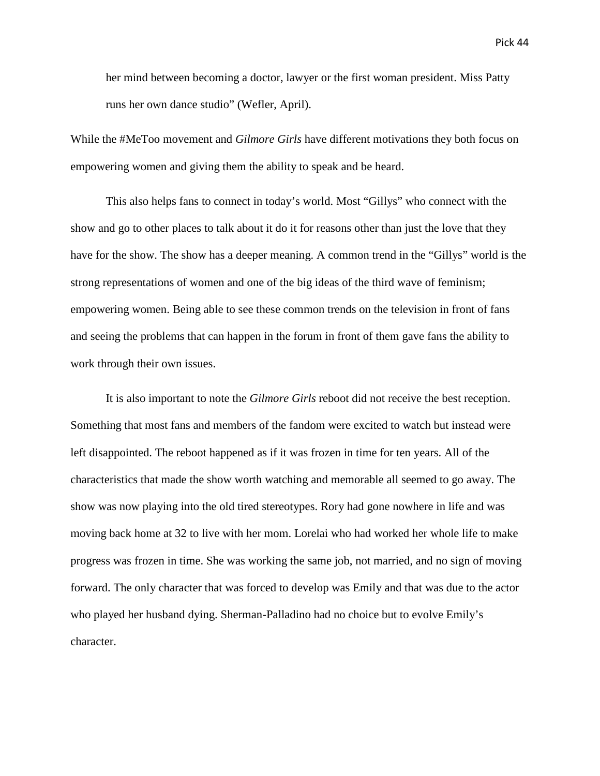her mind between becoming a doctor, lawyer or the first woman president. Miss Patty runs her own dance studio" (Wefler, April).

While the #MeToo movement and *Gilmore Girls* have different motivations they both focus on empowering women and giving them the ability to speak and be heard.

This also helps fans to connect in today's world. Most "Gillys" who connect with the show and go to other places to talk about it do it for reasons other than just the love that they have for the show. The show has a deeper meaning. A common trend in the "Gillys" world is the strong representations of women and one of the big ideas of the third wave of feminism; empowering women. Being able to see these common trends on the television in front of fans and seeing the problems that can happen in the forum in front of them gave fans the ability to work through their own issues.

It is also important to note the *Gilmore Girls* reboot did not receive the best reception. Something that most fans and members of the fandom were excited to watch but instead were left disappointed. The reboot happened as if it was frozen in time for ten years. All of the characteristics that made the show worth watching and memorable all seemed to go away. The show was now playing into the old tired stereotypes. Rory had gone nowhere in life and was moving back home at 32 to live with her mom. Lorelai who had worked her whole life to make progress was frozen in time. She was working the same job, not married, and no sign of moving forward. The only character that was forced to develop was Emily and that was due to the actor who played her husband dying. Sherman-Palladino had no choice but to evolve Emily's character.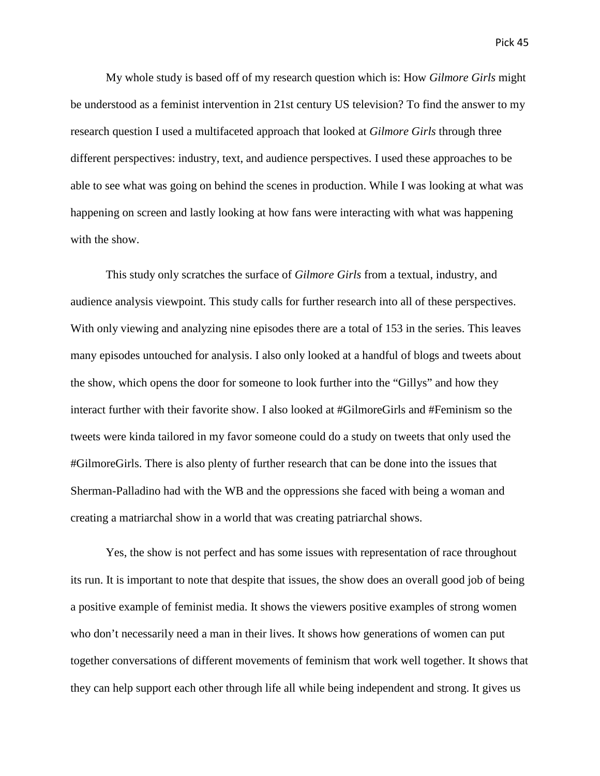My whole study is based off of my research question which is: How *Gilmore Girls* might be understood as a feminist intervention in 21st century US television? To find the answer to my research question I used a multifaceted approach that looked at *Gilmore Girls* through three different perspectives: industry, text, and audience perspectives. I used these approaches to be able to see what was going on behind the scenes in production. While I was looking at what was happening on screen and lastly looking at how fans were interacting with what was happening with the show.

This study only scratches the surface of *Gilmore Girls* from a textual, industry, and audience analysis viewpoint. This study calls for further research into all of these perspectives. With only viewing and analyzing nine episodes there are a total of 153 in the series. This leaves many episodes untouched for analysis. I also only looked at a handful of blogs and tweets about the show, which opens the door for someone to look further into the "Gillys" and how they interact further with their favorite show. I also looked at #GilmoreGirls and #Feminism so the tweets were kinda tailored in my favor someone could do a study on tweets that only used the #GilmoreGirls. There is also plenty of further research that can be done into the issues that Sherman-Palladino had with the WB and the oppressions she faced with being a woman and creating a matriarchal show in a world that was creating patriarchal shows.

Yes, the show is not perfect and has some issues with representation of race throughout its run. It is important to note that despite that issues, the show does an overall good job of being a positive example of feminist media. It shows the viewers positive examples of strong women who don't necessarily need a man in their lives. It shows how generations of women can put together conversations of different movements of feminism that work well together. It shows that they can help support each other through life all while being independent and strong. It gives us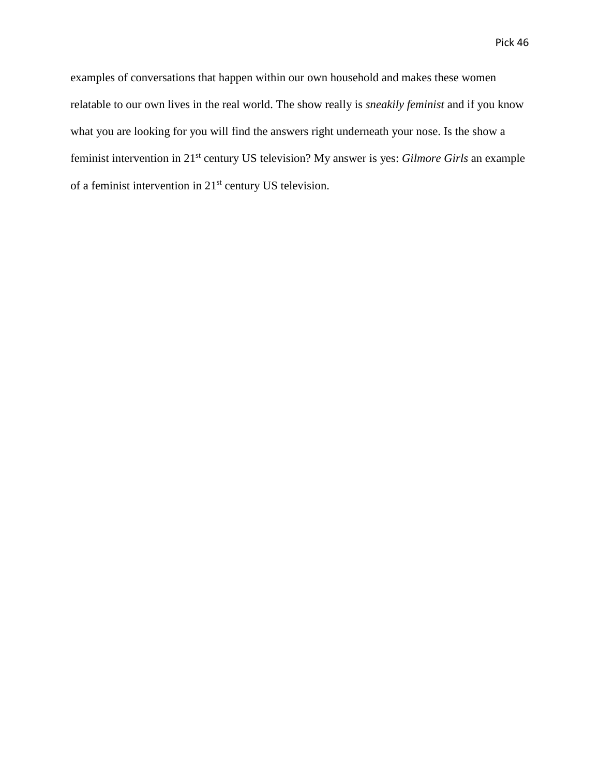examples of conversations that happen within our own household and makes these women relatable to our own lives in the real world. The show really is *sneakily feminist* and if you know what you are looking for you will find the answers right underneath your nose. Is the show a feminist intervention in 21st century US television? My answer is yes: *Gilmore Girls* an example of a feminist intervention in 21st century US television.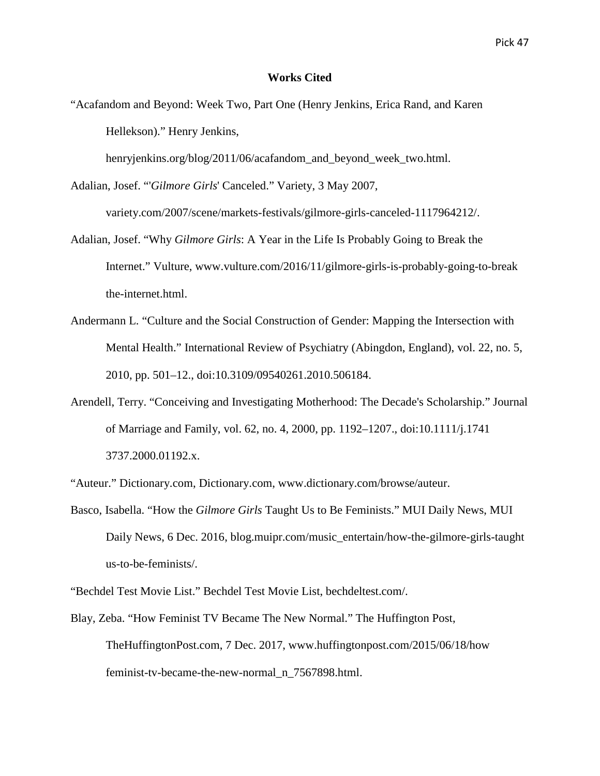# **Works Cited**

"Acafandom and Beyond: Week Two, Part One (Henry Jenkins, Erica Rand, and Karen Hellekson)." Henry Jenkins,

henryjenkins.org/blog/2011/06/acafandom\_and\_beyond\_week\_two.html.

Adalian, Josef. "'*Gilmore Girls*' Canceled." Variety, 3 May 2007,

variety.com/2007/scene/markets-festivals/gilmore-girls-canceled-1117964212/.

- Adalian, Josef. "Why *Gilmore Girls*: A Year in the Life Is Probably Going to Break the Internet." Vulture, www.vulture.com/2016/11/gilmore-girls-is-probably-going-to-break the-internet.html.
- Andermann L. "Culture and the Social Construction of Gender: Mapping the Intersection with Mental Health." International Review of Psychiatry (Abingdon, England), vol. 22, no. 5, 2010, pp. 501–12., doi:10.3109/09540261.2010.506184.
- Arendell, Terry. "Conceiving and Investigating Motherhood: The Decade's Scholarship." Journal of Marriage and Family, vol. 62, no. 4, 2000, pp. 1192–1207., doi:10.1111/j.1741 3737.2000.01192.x.

"Auteur." Dictionary.com, Dictionary.com, www.dictionary.com/browse/auteur.

Basco, Isabella. "How the *Gilmore Girls* Taught Us to Be Feminists." MUI Daily News, MUI Daily News, 6 Dec. 2016, blog.muipr.com/music\_entertain/how-the-gilmore-girls-taught us-to-be-feminists/.

"Bechdel Test Movie List." Bechdel Test Movie List, bechdeltest.com/.

Blay, Zeba. "How Feminist TV Became The New Normal." The Huffington Post, TheHuffingtonPost.com, 7 Dec. 2017, www.huffingtonpost.com/2015/06/18/how feminist-tv-became-the-new-normal\_n\_7567898.html.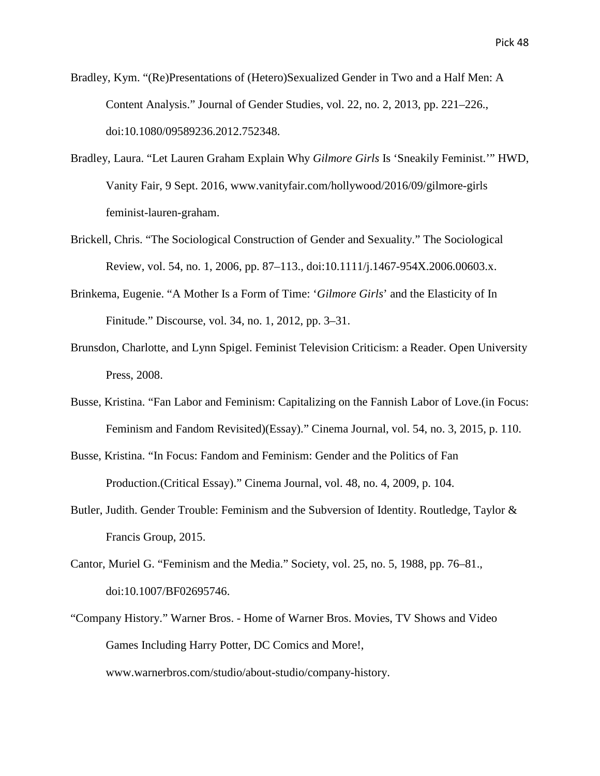Bradley, Kym. "(Re)Presentations of (Hetero)Sexualized Gender in Two and a Half Men: A Content Analysis." Journal of Gender Studies, vol. 22, no. 2, 2013, pp. 221–226., doi:10.1080/09589236.2012.752348.

- Bradley, Laura. "Let Lauren Graham Explain Why *Gilmore Girls* Is 'Sneakily Feminist.'" HWD, Vanity Fair, 9 Sept. 2016, www.vanityfair.com/hollywood/2016/09/gilmore-girls feminist-lauren-graham.
- Brickell, Chris. "The Sociological Construction of Gender and Sexuality." The Sociological Review, vol. 54, no. 1, 2006, pp. 87–113., doi:10.1111/j.1467-954X.2006.00603.x.
- Brinkema, Eugenie. "A Mother Is a Form of Time: '*Gilmore Girls*' and the Elasticity of In Finitude." Discourse, vol. 34, no. 1, 2012, pp. 3–31.
- Brunsdon, Charlotte, and Lynn Spigel. Feminist Television Criticism: a Reader. Open University Press, 2008.
- Busse, Kristina. "Fan Labor and Feminism: Capitalizing on the Fannish Labor of Love.(in Focus: Feminism and Fandom Revisited)(Essay)." Cinema Journal, vol. 54, no. 3, 2015, p. 110.
- Busse, Kristina. "In Focus: Fandom and Feminism: Gender and the Politics of Fan Production.(Critical Essay)." Cinema Journal, vol. 48, no. 4, 2009, p. 104.
- Butler, Judith. Gender Trouble: Feminism and the Subversion of Identity. Routledge, Taylor & Francis Group, 2015.
- Cantor, Muriel G. "Feminism and the Media." Society, vol. 25, no. 5, 1988, pp. 76–81., doi:10.1007/BF02695746.
- "Company History." Warner Bros. Home of Warner Bros. Movies, TV Shows and Video Games Including Harry Potter, DC Comics and More!, www.warnerbros.com/studio/about-studio/company-history.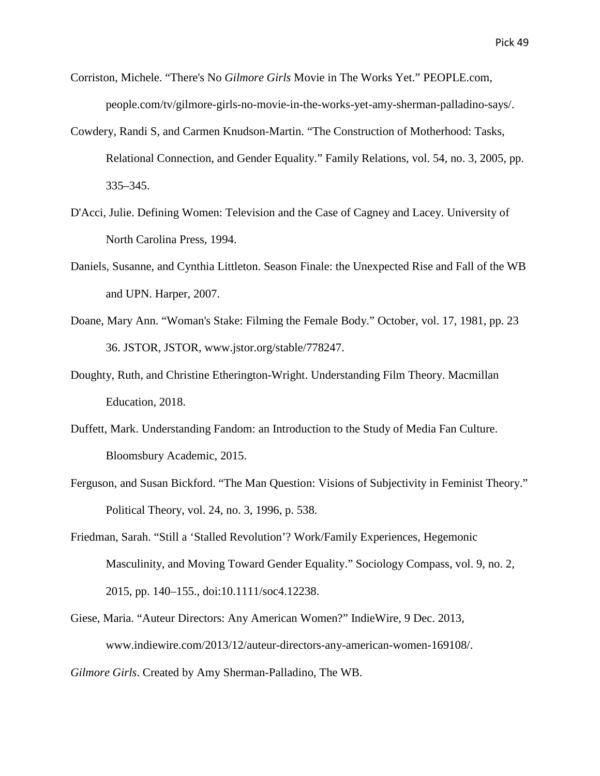- Corriston, Michele. "There's No *Gilmore Girls* Movie in The Works Yet." PEOPLE.com, people.com/tv/gilmore-girls-no-movie-in-the-works-yet-amy-sherman-palladino-says/.
- Cowdery, Randi S, and Carmen Knudson-Martin. "The Construction of Motherhood: Tasks, Relational Connection, and Gender Equality." Family Relations, vol. 54, no. 3, 2005, pp. 335–345.
- D'Acci, Julie. Defining Women: Television and the Case of Cagney and Lacey. University of North Carolina Press, 1994.
- Daniels, Susanne, and Cynthia Littleton. Season Finale: the Unexpected Rise and Fall of the WB and UPN. Harper, 2007.
- Doane, Mary Ann. "Woman's Stake: Filming the Female Body." October, vol. 17, 1981, pp. 23 36. JSTOR, JSTOR, www.jstor.org/stable/778247.
- Doughty, Ruth, and Christine Etherington-Wright. Understanding Film Theory. Macmillan Education, 2018.
- Duffett, Mark. Understanding Fandom: an Introduction to the Study of Media Fan Culture. Bloomsbury Academic, 2015.
- Ferguson, and Susan Bickford. "The Man Question: Visions of Subjectivity in Feminist Theory." Political Theory, vol. 24, no. 3, 1996, p. 538.
- Friedman, Sarah. "Still a 'Stalled Revolution'? Work/Family Experiences, Hegemonic Masculinity, and Moving Toward Gender Equality." Sociology Compass, vol. 9, no. 2, 2015, pp. 140–155., doi:10.1111/soc4.12238.
- Giese, Maria. "Auteur Directors: Any American Women?" IndieWire, 9 Dec. 2013, www.indiewire.com/2013/12/auteur-directors-any-american-women-169108/.

*Gilmore Girls*. Created by Amy Sherman-Palladino, The WB.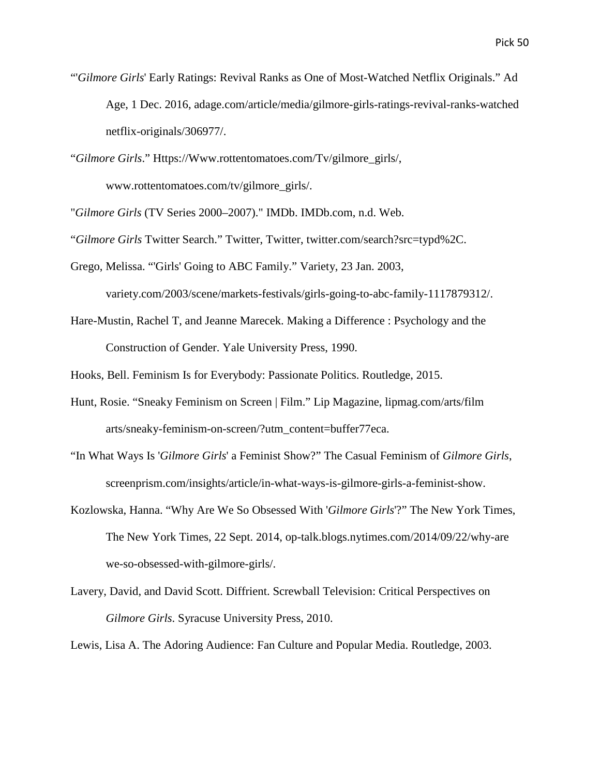- "'*Gilmore Girls*' Early Ratings: Revival Ranks as One of Most-Watched Netflix Originals." Ad Age, 1 Dec. 2016, adage.com/article/media/gilmore-girls-ratings-revival-ranks-watched netflix-originals/306977/.
- "*Gilmore Girls*." Https://Www.rottentomatoes.com/Tv/gilmore\_girls/, www.rottentomatoes.com/tv/gilmore\_girls/.

"*Gilmore Girls* (TV Series 2000–2007)." IMDb. IMDb.com, n.d. Web.

"*Gilmore Girls* Twitter Search." Twitter, Twitter, twitter.com/search?src=typd%2C.

Grego, Melissa. "'Girls' Going to ABC Family." Variety, 23 Jan. 2003,

variety.com/2003/scene/markets-festivals/girls-going-to-abc-family-1117879312/.

Hare-Mustin, Rachel T, and Jeanne Marecek. Making a Difference : Psychology and the Construction of Gender. Yale University Press, 1990.

Hooks, Bell. Feminism Is for Everybody: Passionate Politics. Routledge, 2015.

- Hunt, Rosie. "Sneaky Feminism on Screen | Film." Lip Magazine, lipmag.com/arts/film arts/sneaky-feminism-on-screen/?utm\_content=buffer77eca.
- "In What Ways Is '*Gilmore Girls*' a Feminist Show?" The Casual Feminism of *Gilmore Girls*, screenprism.com/insights/article/in-what-ways-is-gilmore-girls-a-feminist-show.
- Kozlowska, Hanna. "Why Are We So Obsessed With '*Gilmore Girls*'?" The New York Times, The New York Times, 22 Sept. 2014, op-talk.blogs.nytimes.com/2014/09/22/why-are we-so-obsessed-with-gilmore-girls/.
- Lavery, David, and David Scott. Diffrient. Screwball Television: Critical Perspectives on *Gilmore Girls*. Syracuse University Press, 2010.

Lewis, Lisa A. The Adoring Audience: Fan Culture and Popular Media. Routledge, 2003.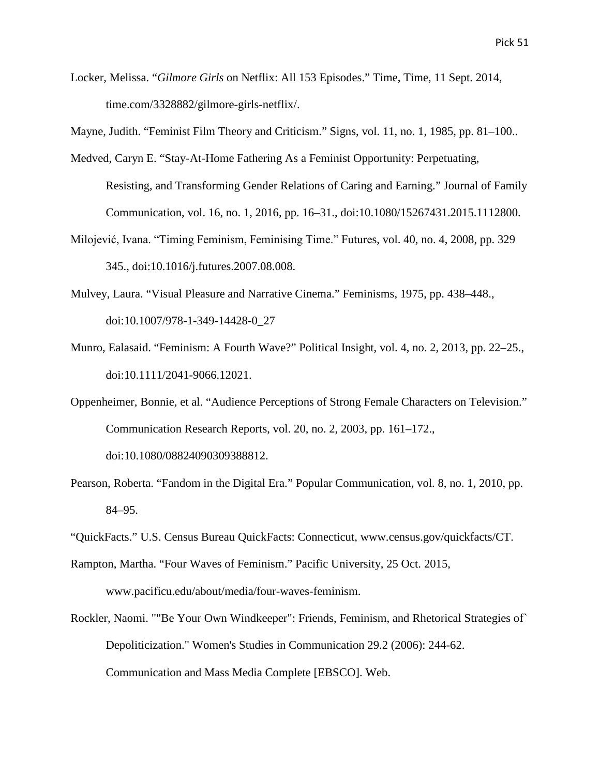Locker, Melissa. "*Gilmore Girls* on Netflix: All 153 Episodes." Time, Time, 11 Sept. 2014, time.com/3328882/gilmore-girls-netflix/.

Mayne, Judith. "Feminist Film Theory and Criticism." Signs, vol. 11, no. 1, 1985, pp. 81–100..

- Medved, Caryn E. "Stay-At-Home Fathering As a Feminist Opportunity: Perpetuating, Resisting, and Transforming Gender Relations of Caring and Earning." Journal of Family Communication, vol. 16, no. 1, 2016, pp. 16–31., doi:10.1080/15267431.2015.1112800.
- Milojević, Ivana. "Timing Feminism, Feminising Time." Futures, vol. 40, no. 4, 2008, pp. 329 345., doi:10.1016/j.futures.2007.08.008.
- Mulvey, Laura. "Visual Pleasure and Narrative Cinema." Feminisms, 1975, pp. 438–448., doi:10.1007/978-1-349-14428-0\_27
- Munro, Ealasaid. "Feminism: A Fourth Wave?" Political Insight, vol. 4, no. 2, 2013, pp. 22–25., doi:10.1111/2041-9066.12021.
- Oppenheimer, Bonnie, et al. "Audience Perceptions of Strong Female Characters on Television." Communication Research Reports, vol. 20, no. 2, 2003, pp. 161–172., doi:10.1080/08824090309388812.
- Pearson, Roberta. "Fandom in the Digital Era." Popular Communication, vol. 8, no. 1, 2010, pp. 84–95.
- "QuickFacts." U.S. Census Bureau QuickFacts: Connecticut, www.census.gov/quickfacts/CT.
- Rampton, Martha. "Four Waves of Feminism." Pacific University, 25 Oct. 2015, www.pacificu.edu/about/media/four-waves-feminism.
- Rockler, Naomi. ""Be Your Own Windkeeper": Friends, Feminism, and Rhetorical Strategies of` Depoliticization." Women's Studies in Communication 29.2 (2006): 244-62. Communication and Mass Media Complete [EBSCO]. Web.